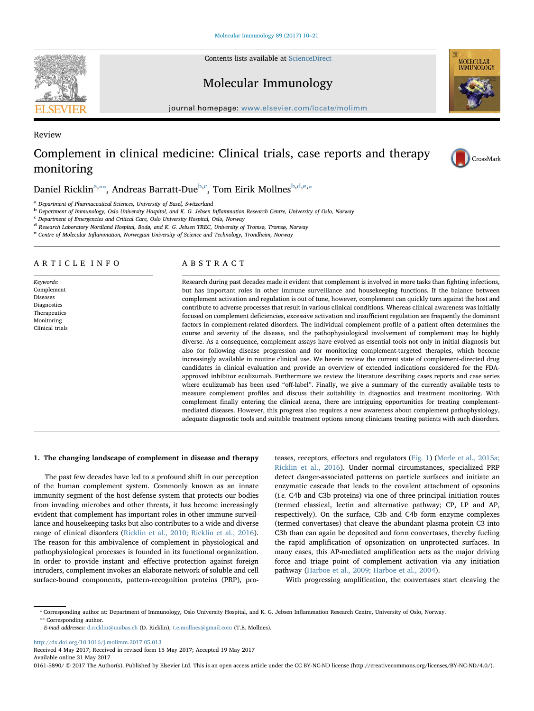Contents lists available at [ScienceDirect](http://www.sciencedirect.com/science/journal/01615890)



Review

Molecular Immunology



journal homepage: [www.elsevier.com/locate/molimm](http://www.elsevier.com/locate/molimm)

# Complement in clinical medicine: Clinical trials, case reports and therapy monitoring



D[a](#page-0-0)niel Ricklin<sup>a,</sup>\*\*, Andreas Barratt-Due<sup>[b](#page-0-2),[c](#page-0-3)</sup>, Tom Eirik Mollnes<sup>b[,d,](#page-0-4)[e,](#page-0-5)</sup>\*

<span id="page-0-0"></span><sup>a</sup> Department of Pharmaceutical Sciences, University of Basel, Switzerland

<span id="page-0-2"></span>b Department of Immunology, Oslo University Hospital, and K. G. Jebsen Inflammation Research Centre, University of Oslo, Norway<br><sup>c</sup> Department of Emergencies and Critical Care, Oslo University Hospital, Oslo, Norway

<span id="page-0-3"></span>

<span id="page-0-4"></span><sup>d</sup> Research Laboratory Nordland Hospital, Bodø, and K. G. Jebsen TREC, University of Tromsø, Tromsø, Norway

<span id="page-0-5"></span><sup>e</sup> Centre of Molecular Inflammation, Norwegian University of Science and Technology, Trondheim, Norway

# ARTICLE INFO

Keywords: Complement Diseases Diagnostics Therapeutics Monitoring Clinical trials

# ABSTRACT

Research during past decades made it evident that complement is involved in more tasks than fighting infections, but has important roles in other immune surveillance and housekeeping functions. If the balance between complement activation and regulation is out of tune, however, complement can quickly turn against the host and contribute to adverse processes that result in various clinical conditions. Whereas clinical awareness was initially focused on complement deficiencies, excessive activation and insufficient regulation are frequently the dominant factors in complement-related disorders. The individual complement profile of a patient often determines the course and severity of the disease, and the pathophysiological involvement of complement may be highly diverse. As a consequence, complement assays have evolved as essential tools not only in initial diagnosis but also for following disease progression and for monitoring complement-targeted therapies, which become increasingly available in routine clinical use. We herein review the current state of complement-directed drug candidates in clinical evaluation and provide an overview of extended indications considered for the FDAapproved inhibitor eculizumab. Furthermore we review the literature describing cases reports and case series where eculizumab has been used "off-label". Finally, we give a summary of the currently available tests to measure complement profiles and discuss their suitability in diagnostics and treatment monitoring. With complement finally entering the clinical arena, there are intriguing opportunities for treating complementmediated diseases. However, this progress also requires a new awareness about complement pathophysiology, adequate diagnostic tools and suitable treatment options among clinicians treating patients with such disorders.

# 1. The changing landscape of complement in disease and therapy

The past few decades have led to a profound shift in our perception of the human complement system. Commonly known as an innate immunity segment of the host defense system that protects our bodies from invading microbes and other threats, it has become increasingly evident that complement has important roles in other immune surveillance and housekeeping tasks but also contributes to a wide and diverse range of clinical disorders [\(Ricklin et al., 2010; Ricklin et al., 2016](#page-10-0)). The reason for this ambivalence of complement in physiological and pathophysiological processes is founded in its functional organization. In order to provide instant and effective protection against foreign intruders, complement invokes an elaborate network of soluble and cell surface-bound components, pattern-recognition proteins (PRP), proteases, receptors, effectors and regulators [\(Fig. 1](#page-1-0)) ([Merle et al., 2015a;](#page-10-1) [Ricklin et al., 2016\)](#page-10-1). Under normal circumstances, specialized PRP detect danger-associated patterns on particle surfaces and initiate an enzymatic cascade that leads to the covalent attachment of opsonins (i.e. C4b and C3b proteins) via one of three principal initiation routes (termed classical, lectin and alternative pathway; CP, LP and AP, respectively). On the surface, C3b and C4b form enzyme complexes (termed convertases) that cleave the abundant plasma protein C3 into C3b than can again be deposited and form convertases, thereby fueling the rapid amplification of opsonization on unprotected surfaces. In many cases, this AP-mediated amplification acts as the major driving force and triage point of complement activation via any initiation pathway ([Harboe et al., 2009; Harboe et al., 2004\)](#page-10-2).

With progressing amplification, the convertases start cleaving the

<span id="page-0-6"></span><span id="page-0-1"></span>⁎ Corresponding author at: Department of Immunology, Oslo University Hospital, and K. G. Jebsen Inflammation Research Centre, University of Oslo, Norway. ⁎⁎ Corresponding author.

E-mail addresses: [d.ricklin@unibas.ch](mailto:d.ricklin@unibas.ch) (D. Ricklin), [t.e.mollnes@gmail.com](mailto:t.e.mollnes@gmail.com) (T.E. Mollnes).

<http://dx.doi.org/10.1016/j.molimm.2017.05.013>

Received 4 May 2017; Received in revised form 15 May 2017; Accepted 19 May 2017 Available online 31 May 2017

0161-5890/ © 2017 The Author(s). Published by Elsevier Ltd. This is an open access article under the CC BY-NC-ND license (http://creativecommons.org/licenses/BY-NC-ND/4.0/).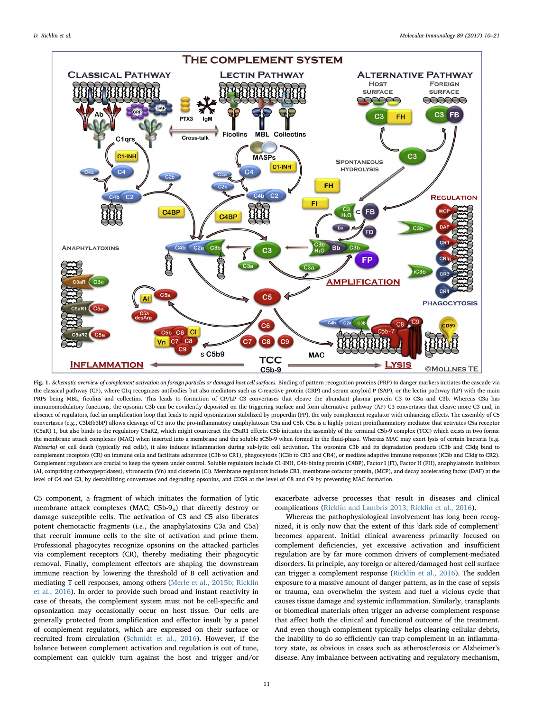<span id="page-1-0"></span>

Fig. 1. Schematic overview of complement activation on foreign particles or damaged host cell surfaces. Binding of pattern recognition proteins (PRP) to danger markers initiates the cascade via the classical pathway (CP), where C1q recognizes antibodies but also mediators such as C-reactive protein (CRP) and serum amyloid P (SAP), or the lectin pathway (LP) with the main PRPs being MBL, ficolins and collectins. This leads to formation of CP/LP C3 convertases that cleave the abundant plasma protein C3 to C3a and C3b. Whereas C3a has immunomodulatory functions, the opsonin C3b can be covalently deposited on the triggering surface and form alternative pathway (AP) C3 convertases that cleave more C3 and, in absence of regulators, fuel an amplification loop that leads to rapid opsonization stabilized by properdin (FP), the only complement regulator with enhancing effects. The assembly of C5 convertases (e.g., C3bBb3bP) allows cleavage of C5 into the pro-inflammatory anaphylatoxin C5a and C5b. C5a is a highly potent proinflammatory mediator that activates C5a receptor (C5aR) 1, but also binds to the regulatory C5aR2, which might counteract the C5aR1 effects. C5b initiates the assembly of the terminal C5b-9 complex (TCC) which exists in two forms: the membrane attack complexes (MAC) when inserted into a membrane and the soluble sC5b-9 when formed in the fluid-phase. Whereas MAC may exert lysis of certain bacteria (e.g. Neisseria) or cell death (typically red cells), it also induces inflammation during sub-lytic cell activation. The opsonins C3b and its degradation products iC3b and C3dg bind to complement receptors (CR) on immune cells and facilitate adherence (C3b to CR1), phagocytosis (iC3b to CR3 and CR4), or mediate adaptive immune responses (iC3b and C3dg to CR2). Complement regulators are crucial to keep the system under control. Soluble regulators include C1-INH, C4b-bining protein (C4BP), Factor I (FI), Factor H (FH), anaphylatoxin inhibitors (AI, comprising carboxypeptidases), vitronectin (Vn) and clusterin (Cl). Membrane regulators include CR1, membrane cofactor protein, (MCP), and decay accelerating factor (DAF) at the level of C4 and C3, by destabilizing convertases and degrading opsonins, and CD59 at the level of C8 and C9 by preventing MAC formation.

C5 component, a fragment of which initiates the formation of lytic membrane attack complexes (MAC;  $C_5b-9<sub>n</sub>$ ) that directly destroy or damage susceptible cells. The activation of C3 and C5 also liberates potent chemotactic fragments (i.e., the anaphylatoxins C3a and C5a) that recruit immune cells to the site of activation and prime them. Professional phagocytes recognize opsonins on the attacked particles via complement receptors (CR), thereby mediating their phagocytic removal. Finally, complement effectors are shaping the downstream immune reaction by lowering the threshold of B cell activation and mediating T cell responses, among others ([Merle et al., 2015b; Ricklin](#page-10-3) [et al., 2016](#page-10-3)). In order to provide such broad and instant reactivity in case of threats, the complement system must not be cell-specific and opsonization may occasionally occur on host tissue. Our cells are generally protected from amplification and effector insult by a panel of complement regulators, which are expressed on their surface or recruited from circulation [\(Schmidt et al., 2016](#page-10-4)). However, if the balance between complement activation and regulation is out of tune, complement can quickly turn against the host and trigger and/or

exacerbate adverse processes that result in diseases and clinical complications [\(Ricklin and Lambris 2013; Ricklin et al., 2016](#page-10-5)).

Whereas the pathophysiological involvement has long been recognized, it is only now that the extent of this 'dark side of complement' becomes apparent. Initial clinical awareness primarily focused on complement deficiencies, yet excessive activation and insufficient regulation are by far more common drivers of complement-mediated disorders. In principle, any foreign or altered/damaged host cell surface can trigger a complement response ([Ricklin et al., 2016](#page-10-6)). The sudden exposure to a massive amount of danger pattern, as in the case of sepsis or trauma, can overwhelm the system and fuel a vicious cycle that causes tissue damage and systemic inflammation. Similarly, transplants or biomedical materials often trigger an adverse complement response that affect both the clinical and functional outcome of the treatment. And even though complement typically helps clearing cellular debris, the inability to do so efficiently can trap complement in an inflammatory state, as obvious in cases such as atherosclerosis or Alzheimer's disease. Any imbalance between activating and regulatory mechanism,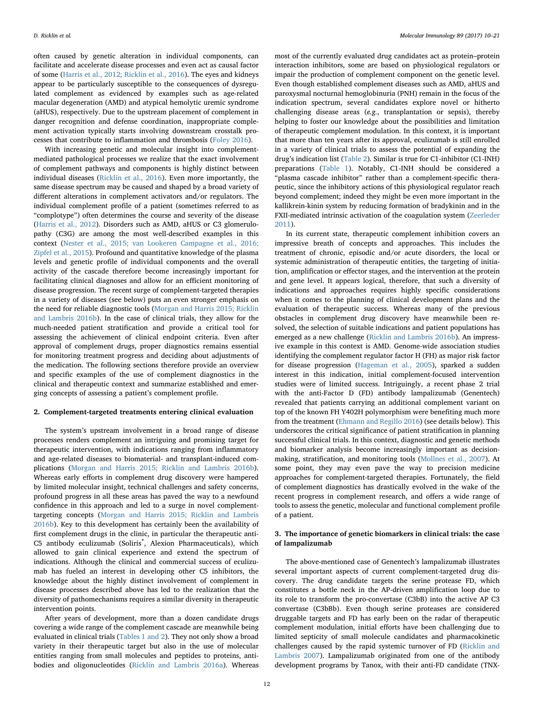often caused by genetic alteration in individual components, can facilitate and accelerate disease processes and even act as causal factor of some [\(Harris et al., 2012; Ricklin et al., 2016\)](#page-10-7). The eyes and kidneys appear to be particularly susceptible to the consequences of dysregulated complement as evidenced by examples such as age-related macular degeneration (AMD) and atypical hemolytic uremic syndrome (aHUS), respectively. Due to the upstream placement of complement in danger recognition and defense coordination, inappropriate complement activation typically starts involving downstream crosstalk processes that contribute to inflammation and thrombosis [\(Foley 2016](#page-9-0)).

With increasing genetic and molecular insight into complementmediated pathological processes we realize that the exact involvement of complement pathways and components is highly distinct between individual diseases ([Ricklin et al., 2016\)](#page-10-6). Even more importantly, the same disease spectrum may be caused and shaped by a broad variety of different alterations in complement activators and/or regulators. The individual complement profile of a patient (sometimes referred to as "complotype") often determines the course and severity of the disease ([Harris et al., 2012](#page-10-7)). Disorders such as AMD, aHUS or C3 glomerulopathy (C3G) are among the most well-described examples in this context ([Nester et al., 2015; van Lookeren Campagne et al., 2016;](#page-10-8) [Zipfel et al., 2015\)](#page-10-8). Profound and quantitative knowledge of the plasma levels and genetic profile of individual components and the overall activity of the cascade therefore become increasingly important for facilitating clinical diagnoses and allow for an efficient monitoring of disease progression. The recent surge of complement-targeted therapies in a variety of diseases (see below) puts an even stronger emphasis on the need for reliable diagnostic tools [\(Morgan and Harris 2015; Ricklin](#page-10-9) [and Lambris 2016b](#page-10-9)). In the case of clinical trials, they allow for the much-needed patient stratification and provide a critical tool for assessing the achievement of clinical endpoint criteria. Even after approval of complement drugs, proper diagnostics remains essential for monitoring treatment progress and deciding about adjustments of the medication. The following sections therefore provide an overview and specific examples of the use of complement diagnostics in the clinical and therapeutic context and summarize established and emerging concepts of assessing a patient's complement profile.

# 2. Complement-targeted treatments entering clinical evaluation

The system's upstream involvement in a broad range of disease processes renders complement an intriguing and promising target for therapeutic intervention, with indications ranging from inflammatory and age-related diseases to biomaterial- and transplant-induced complications [\(Morgan and Harris 2015; Ricklin and Lambris 2016b](#page-10-9)). Whereas early efforts in complement drug discovery were hampered by limited molecular insight, technical challenges and safety concerns, profound progress in all these areas has paved the way to a newfound confidence in this approach and led to a surge in novel complementtargeting concepts [\(Morgan and Harris 2015; Ricklin and Lambris](#page-10-9) [2016b\)](#page-10-9). Key to this development has certainly been the availability of first complement drugs in the clinic, in particular the therapeutic anti-C5 antibody eculizumab (Soliris<sup>®</sup>, Alexion Pharmaceuticals), which allowed to gain clinical experience and extend the spectrum of indications. Although the clinical and commercial success of eculizumab has fueled an interest in developing other C5 inhibitors, the knowledge about the highly distinct involvement of complement in disease processes described above has led to the realization that the diversity of pathomechanisms requires a similar diversity in therapeutic intervention points.

After years of development, more than a dozen candidate drugs covering a wide range of the complement cascade are meanwhile being evaluated in clinical trials [\(Tables 1 and 2](#page-3-0)). They not only show a broad variety in their therapeutic target but also in the use of molecular entities ranging from small molecules and peptides to proteins, antibodies and oligonucleotides [\(Ricklin and Lambris 2016a\)](#page-10-10). Whereas

most of the currently evaluated drug candidates act as protein–protein interaction inhibitors, some are based on physiological regulators or impair the production of complement component on the genetic level. Even though established complement diseases such as AMD, aHUS and paroxysmal nocturnal hemoglobinuria (PNH) remain in the focus of the indication spectrum, several candidates explore novel or hitherto challenging disease areas (e.g., transplantation or sepsis), thereby helping to foster our knowledge about the possibilities and limitation of therapeutic complement modulation. In this context, it is important that more than ten years after its approval, eculizumab is still enrolled in a variety of clinical trials to assess the potential of expanding the drug's indication list ([Table 2\)](#page-4-0). Similar is true for C1-inhibitor (C1-INH) preparations [\(Table 1\)](#page-3-0). Notably, C1-INH should be considered a "plasma cascade inhibitor" rather than a complement-specific therapeutic, since the inhibitory actions of this physiological regulator reach beyond complement; indeed they might be even more important in the kallikrein-kinin system by reducing formation of bradykinin and in the FXII-mediated intrinsic activation of the coagulation system [\(Zeerleder](#page-11-0) [2011\)](#page-11-0).

In its current state, therapeutic complement inhibition covers an impressive breath of concepts and approaches. This includes the treatment of chronic, episodic and/or acute disorders, the local or systemic administration of therapeutic entities, the targeting of initiation, amplification or effector stages, and the intervention at the protein and gene level. It appears logical, therefore, that such a diversity of indications and approaches requires highly specific considerations when it comes to the planning of clinical development plans and the evaluation of therapeutic success. Whereas many of the previous obstacles in complement drug discovery have meanwhile been resolved, the selection of suitable indications and patient populations has emerged as a new challenge ([Ricklin and Lambris 2016b\)](#page-10-11). An impressive example in this context is AMD. Genome-wide association studies identifying the complement regulator factor H (FH) as major risk factor for disease progression [\(Hageman et al., 2005](#page-9-1)), sparked a sudden interest in this indication, initial complement-focused intervention studies were of limited success. Intriguingly, a recent phase 2 trial with the anti-Factor D (FD) antibody lampalizumab (Genentech) revealed that patients carrying an additional complement variant on top of the known FH Y402H polymorphism were benefiting much more from the treatment ([Ehmann and Regillo 2016](#page-9-2)) (see details below). This underscores the critical significance of patient stratification in planning successful clinical trials. In this context, diagnostic and genetic methods and biomarker analysis become increasingly important as decisionmaking, stratification, and monitoring tools [\(Mollnes et al., 2007](#page-10-12)). At some point, they may even pave the way to precision medicine approaches for complement-targeted therapies. Fortunately, the field of complement diagnostics has drastically evolved in the wake of the recent progress in complement research, and offers a wide range of tools to assess the genetic, molecular and functional complement profile of a patient.

# 3. The importance of genetic biomarkers in clinical trials: the case of lampalizumab

The above-mentioned case of Genentech's lampalizumab illustrates several important aspects of current complement-targeted drug discovery. The drug candidate targets the serine protease FD, which constitutes a bottle neck in the AP-driven amplification loop due to its role to transform the pro-convertase (C3bB) into the active AP C3 convertase (C3bBb). Even though serine proteases are considered druggable targets and FD has early been on the radar of therapeutic complement modulation, initial efforts have been challenging due to limited septicity of small molecule candidates and pharmacokinetic challenges caused by the rapid systemic turnover of FD [\(Ricklin and](#page-10-13) [Lambris 2007\)](#page-10-13). Lampalizumab originated from one of the antibody development programs by Tanox, with their anti-FD candidate (TNX-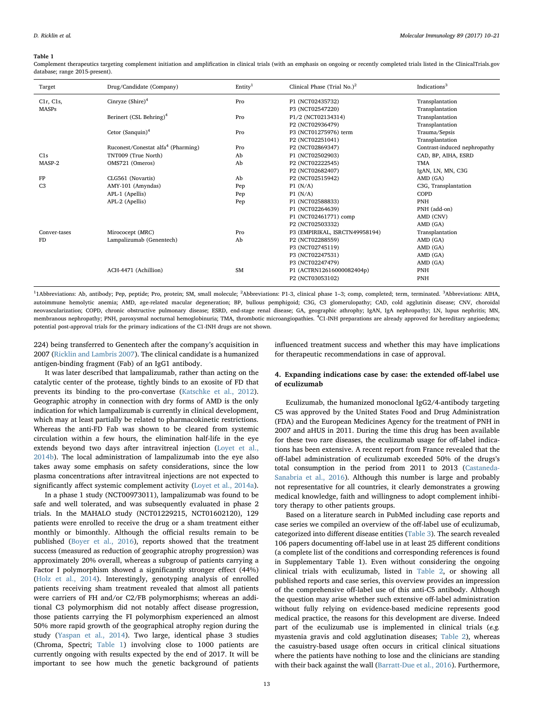<span id="page-3-0"></span>Complement therapeutics targeting complement initiation and amplification in clinical trials (with an emphasis on ongoing or recently completed trials listed in the ClinicalTrials.gov database; range 2015-present).

| Target         | Drug/Candidate (Company)                       | Entity <sup>1</sup> | Clinical Phase (Trial No.) $2$            | Indications <sup>3</sup>                        |
|----------------|------------------------------------------------|---------------------|-------------------------------------------|-------------------------------------------------|
| C1r, C1s,      | Cinryze $(Shire)^4$                            | Pro                 | P1 (NCT02435732)                          | Transplantation                                 |
| <b>MASPs</b>   | Berinert (CSL Behring) <sup>4</sup>            | Pro                 | P3 (NCT02547220)<br>P1/2 (NCT02134314)    | Transplantation<br>Transplantation              |
|                | Cetor $(Sanquin)^4$                            | Pro                 | P2 (NCT02936479)<br>P3 (NCT01275976) term | Transplantation<br>Trauma/Sepsis                |
|                | Ruconest/Conestat alfa <sup>4</sup> (Pharming) | Pro                 | P2 (NCT02251041)<br>P2 (NCT02869347)      | Transplantation<br>Contrast-induced nephropathy |
| C1s            | TNT009 (True North)                            | Ab                  | P1 (NCT02502903)                          | CAD, BP, AIHA, ESRD                             |
| MASP-2         | OMS721 (Omeros)                                | Ab                  | P2 (NCT02222545)<br>P2 (NCT02682407)      | <b>TMA</b><br>IgAN, LN, MN, C3G                 |
| FP             | CLG561 (Novartis)                              | Ab                  | P2 (NCT02515942)                          | AMD (GA)                                        |
| C <sub>3</sub> | AMY-101 (Amyndas)                              | Pep                 | P1(N/A)                                   | C3G, Transplantation                            |
|                | APL-1 (Apellis)                                | Pep                 | P1(N/A)                                   | COPD                                            |
|                | APL-2 (Apellis)                                | Pep                 | P1 (NCT02588833)                          | PNH                                             |
|                |                                                |                     | P1 (NCT02264639)                          | PNH (add-on)                                    |
|                |                                                |                     | P1 (NCT02461771) comp                     | AMD (CNV)                                       |
|                |                                                |                     | P2 (NCT02503332)                          | AMD (GA)                                        |
| Conver-tases   | Mirococept (MRC)                               | Pro                 | P3 (EMPIRIKAL, ISRCTN49958194)            | Transplantation                                 |
| <b>FD</b>      | Lampalizumab (Genentech)                       | Ab                  | P2 (NCT02288559)                          | AMD (GA)                                        |
|                |                                                |                     | P3 (NCT02745119)                          | AMD (GA)                                        |
|                |                                                |                     | P3 (NCT02247531)                          | AMD (GA)                                        |
|                |                                                |                     | P3 (NCT02247479)                          | AMD (GA)                                        |
|                | ACH-4471 (Achillion)                           | SM                  | P1 (ACTRN12616000082404p)                 | <b>PNH</b>                                      |
|                |                                                |                     | P2 (NCT03053102)                          | <b>PNH</b>                                      |

<sup>1</sup>1Abbreviations: Ab, antibody; Pep, peptide; Pro, protein; SM, small molecule; <sup>2</sup>Abbreviations: P1-3, clinical phase 1-3; comp, completed; term, terminated. <sup>3</sup>Abbreviations: AIHA, autoimmune hemolytic anemia; AMD, age-related macular degeneration; BP, bullous pemphigoid; C3G, C3 glomerulopathy; CAD, cold agglutinin disease; CNV, choroidal neovascularization; COPD, chronic obstructive pulmonary disease; ESRD, end-stage renal disease; GA, geographic athrophy; IgAN, IgA nephropathy; LN, lupus nephritis; MN, membranous nephropathy; PNH, paroxysmal nocturnal hemoglobinuria; TMA, thrombotic microangiopathies. <sup>4</sup>C1-INH preparations are already approved for hereditary angioedema; potential post-approval trials for the primary indications of the C1-INH drugs are not shown.

224) being transferred to Genentech after the company's acquisition in 2007 [\(Ricklin and Lambris 2007](#page-10-13)). The clinical candidate is a humanized antigen-binding fragment (Fab) of an IgG1 antibody.

It was later described that lampalizumab, rather than acting on the catalytic center of the protease, tightly binds to an exosite of FD that prevents its binding to the pro-convertase [\(Katschke et al., 2012](#page-10-14)). Geographic atrophy in connection with dry forms of AMD is the only indication for which lampalizumab is currently in clinical development, which may at least partially be related to pharmacokinetic restrictions. Whereas the anti-FD Fab was shown to be cleared from systemic circulation within a few hours, the elimination half-life in the eye extends beyond two days after intravitreal injection [\(Loyet et al.,](#page-10-15) [2014b\)](#page-10-15). The local administration of lampalizumab into the eye also takes away some emphasis on safety considerations, since the low plasma concentrations after intravitreal injections are not expected to significantly affect systemic complement activity ([Loyet et al., 2014a](#page-10-16)).

In a phase 1 study (NCT00973011), lampalizumab was found to be safe and well tolerated, and was subsequently evaluated in phase 2 trials. In the MAHALO study (NCT01229215, NCT01602120), 129 patients were enrolled to receive the drug or a sham treatment either monthly or bimonthly. Although the official results remain to be published ([Boyer et al., 2016](#page-9-3)), reports showed that the treatment success (measured as reduction of geographic atrophy progression) was approximately 20% overall, whereas a subgroup of patients carrying a Factor I polymorphism showed a significantly stronger effect (44%) ([Holz et al., 2014\)](#page-10-17). Interestingly, genotyping analysis of enrolled patients receiving sham treatment revealed that almost all patients were carriers of FH and/or C2/FB polymorphisms; whereas an additional C3 polymorphism did not notably affect disease progression, those patients carrying the FI polymorphism experienced an almost 50% more rapid growth of the geographical atrophy region during the study ([Yaspan et al., 2014\)](#page-11-1). Two large, identical phase 3 studies (Chroma, Spectri; [Table 1\)](#page-3-0) involving close to 1000 patients are currently ongoing with results expected by the end of 2017. It will be important to see how much the genetic background of patients

influenced treatment success and whether this may have implications for therapeutic recommendations in case of approval.

# 4. Expanding indications case by case: the extended off-label use of eculizumab

Eculizumab, the humanized monoclonal IgG2/4-antibody targeting C5 was approved by the United States Food and Drug Administration (FDA) and the European Medicines Agency for the treatment of PNH in 2007 and aHUS in 2011. During the time this drug has been available for these two rare diseases, the eculizumab usage for off-label indications has been extensive. A recent report from France revealed that the off-label administration of eculizumab exceeded 50% of the drugs's total consumption in the period from 2011 to 2013 [\(Castaneda-](#page-9-4)[Sanabria et al., 2016\)](#page-9-4). Although this number is large and probably not representative for all countries, it clearly demonstrates a growing medical knowledge, faith and willingness to adopt complement inhibitory therapy to other patients groups.

Based on a literature search in PubMed including case reports and case series we compiled an overview of the off-label use of eculizumab, categorized into different disease entities ([Table 3\)](#page-5-0). The search revealed 106 papers documenting off-label use in at least 25 different conditions (a complete list of the conditions and corresponding references is found in Supplementary Table 1). Even without considering the ongoing clinical trials with eculizumab, listed in [Table 2](#page-4-0), or showing all published reports and case series, this overview provides an impression of the comprehensive off-label use of this anti-C5 antibody. Although the question may arise whether such extensive off-label administration without fully relying on evidence-based medicine represents good medical practice, the reasons for this development are diverse. Indeed part of the eculizumab use is implemented in clinical trials (e.g. myastenia gravis and cold agglutination diseases; [Table 2\)](#page-4-0), whereas the casuistry-based usage often occurs in critical clinical situations where the patients have nothing to lose and the clinicians are standing with their back against the wall ([Barratt-Due et al., 2016\)](#page-9-5). Furthermore,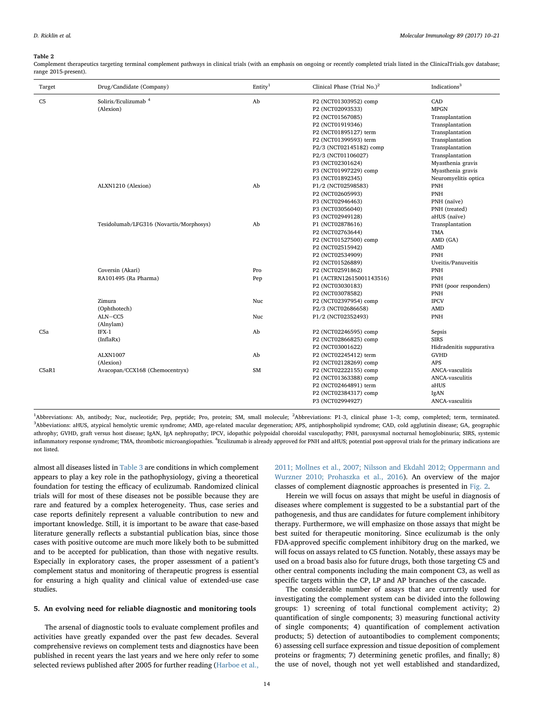<span id="page-4-0"></span>Complement therapeutics targeting terminal complement pathways in clinical trials (with an emphasis on ongoing or recently completed trials listed in the ClinicalTrials.gov database; range 2015-present).

| Target          | Drug/Candidate (Company)                | $\mathrm{Entity}^1$ | Clinical Phase (Trial No.) $2$ | $\mathbf{Indications}^3$ |
|-----------------|-----------------------------------------|---------------------|--------------------------------|--------------------------|
| C <sub>5</sub>  | Soliris/Eculizumab <sup>4</sup>         | Ab                  | P2 (NCT01303952) comp          | CAD                      |
|                 | (Alexion)                               |                     | P2 (NCT02093533)               | <b>MPGN</b>              |
|                 |                                         |                     | P2 (NCT01567085)               | Transplantation          |
|                 |                                         |                     | P2 (NCT01919346)               | Transplantation          |
|                 |                                         |                     | P2 (NCT01895127) term          | Transplantation          |
|                 |                                         |                     | P2 (NCT01399593) term          | Transplantation          |
|                 |                                         |                     | P2/3 (NCT02145182) comp        | Transplantation          |
|                 |                                         |                     | P2/3 (NCT01106027)             | Transplantation          |
|                 |                                         |                     | P3 (NCT02301624)               | Myasthenia gravis        |
|                 |                                         |                     | P3 (NCT01997229) comp          | Myasthenia gravis        |
|                 |                                         |                     | P3 (NCT01892345)               | Neuromyelitis optica     |
|                 | ALXN1210 (Alexion)                      | Ab                  | P1/2 (NCT02598583)             | PNH                      |
|                 |                                         |                     | P2 (NCT02605993)               | PNH                      |
|                 |                                         |                     | P3 (NCT02946463)               | PNH (naïve)              |
|                 |                                         |                     | P3 (NCT03056040)               | PNH (treated)            |
|                 |                                         |                     | P3 (NCT02949128)               | aHUS (naïve)             |
|                 | Tesidolumab/LFG316 (Novartis/Morphosys) | Ab                  | P1 (NCT02878616)               | Transplantation          |
|                 |                                         |                     | P2 (NCT02763644)               | <b>TMA</b>               |
|                 |                                         |                     | P2 (NCT01527500) comp          | AMD (GA)                 |
|                 |                                         |                     | P2 (NCT02515942)               | AMD                      |
|                 |                                         |                     | P2 (NCT02534909)               | PNH                      |
|                 |                                         |                     | P2 (NCT01526889)               | Uveitis/Panuveitis       |
|                 | Coversin (Akari)                        | Pro                 | P <sub>2</sub> (NCT02591862)   | PNH                      |
|                 | RA101495 (Ra Pharma)                    | Pep                 | P1 (ACTRN12615001143516)       | PNH                      |
|                 |                                         |                     | P2 (NCT03030183)               | PNH (poor responders)    |
|                 |                                         |                     | P2 (NCT03078582)               | <b>PNH</b>               |
|                 | Zimura                                  | Nuc                 | P2 (NCT02397954) comp          | <b>IPCV</b>              |
|                 | (Ophthotech)                            |                     | P2/3 (NCT02686658)             | AMD                      |
|                 | $ALN-CC5$                               | Nuc                 | P1/2 (NCT02352493)             | PNH                      |
|                 | (Alnylam)                               |                     |                                |                          |
| C <sub>5a</sub> | $IFX-1$                                 | Ab                  | P2 (NCT02246595) comp          | Sepsis                   |
|                 | (InflaRx)                               |                     | P2 (NCT02866825) comp          | <b>SIRS</b>              |
|                 |                                         |                     | P2 (NCT03001622)               | Hidradenitis suppurativa |
|                 | ALXN1007                                | Ab                  | P2 (NCT02245412) term          | <b>GVHD</b>              |
|                 | (Alexion)                               |                     | P2 (NCT02128269) comp          | <b>APS</b>               |
| C5aR1           | Avacopan/CCX168 (Chemocentryx)          | SM                  | P2 (NCT02222155) comp          | ANCA-vasculitis          |
|                 |                                         |                     | P2 (NCT01363388) comp          | ANCA-vasculitis          |
|                 |                                         |                     | P2 (NCT02464891) term          | aHUS                     |
|                 |                                         |                     | P2 (NCT02384317) comp          | IgAN                     |
|                 |                                         |                     | P3 (NCT02994927)               | ANCA-vasculitis          |

<sup>1</sup>Abbreviations: Ab, antibody; Nuc, nucleotide; Pep, peptide; Pro, protein; SM, small molecule; <sup>2</sup>Abbreviations: P1-3, clinical phase 1-3; comp, completed; term, terminated. 3 Abbeviations: aHUS, atypical hemolytic uremic syndrome; AMD, age-related macular degeneration; APS, antiphospholipid syndrome; CAD, cold agglutinin disease; GA, geographic athrophy; GVHD, graft versus host disease; IgAN, IgA nephropathy; IPCV, idopathic polypoidal choroidal vasculopathy; PNH, paroxysmal nocturnal hemoglobinuria; SIRS, systemic inflammatory response syndrome; TMA, thrombotic microangiopathies. <sup>4</sup>Eculizumab is already approved for PNH and aHUS; potential post-approval trials for the primary indications are not listed.

almost all diseases listed in [Table 3](#page-5-0) are conditions in which complement appears to play a key role in the pathophysiology, giving a theoretical foundation for testing the efficacy of eculizumab. Randomized clinical trials will for most of these diseases not be possible because they are rare and featured by a complex heterogeneity. Thus, case series and case reports definitely represent a valuable contribution to new and important knowledge. Still, it is important to be aware that case-based literature generally reflects a substantial publication bias, since those cases with positive outcome are much more likely both to be submitted and to be accepted for publication, than those with negative results. Especially in exploratory cases, the proper assessment of a patient's complement status and monitoring of therapeutic progress is essential for ensuring a high quality and clinical value of extended-use case studies.

# 5. An evolving need for reliable diagnostic and monitoring tools

The arsenal of diagnostic tools to evaluate complement profiles and activities have greatly expanded over the past few decades. Several comprehensive reviews on complement tests and diagnostics have been published in recent years the last years and we here only refer to some selected reviews published after 2005 for further reading [\(Harboe et al.,](#page-10-18)

[2011; Mollnes et al., 2007; Nilsson and Ekdahl 2012; Oppermann and](#page-10-18) [Wurzner 2010; Prohaszka et al., 2016\)](#page-10-18). An overview of the major classes of complement diagnostic approaches is presented in [Fig. 2.](#page-6-0)

Herein we will focus on assays that might be useful in diagnosis of diseases where complement is suggested to be a substantial part of the pathogenesis, and thus are candidates for future complement inhibitory therapy. Furthermore, we will emphasize on those assays that might be best suited for therapeutic monitoring. Since eculizumab is the only FDA-approved specific complement inhibitory drug on the marked, we will focus on assays related to C5 function. Notably, these assays may be used on a broad basis also for future drugs, both those targeting C5 and other central components including the main component C3, as well as specific targets within the CP, LP and AP branches of the cascade.

The considerable number of assays that are currently used for investigating the complement system can be divided into the following groups: 1) screening of total functional complement activity; 2) quantification of single components; 3) measuring functional activity of single components; 4) quantification of complement activation products; 5) detection of autoantibodies to complement components; 6) assessing cell surface expression and tissue deposition of complement proteins or fragments; 7) determining genetic profiles, and finally; 8) the use of novel, though not yet well established and standardized,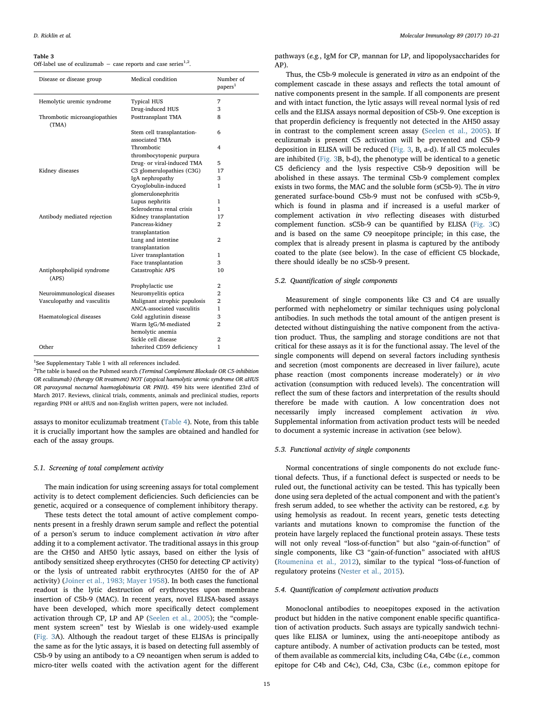<span id="page-5-0"></span>

| Off-label use of eculizumab – case reports and case series <sup>1,2</sup> . |  |  |  |  |  |  |
|-----------------------------------------------------------------------------|--|--|--|--|--|--|
|-----------------------------------------------------------------------------|--|--|--|--|--|--|

| Disease or disease group              | Medical condition            | Number of<br>papers <sup>1</sup> |
|---------------------------------------|------------------------------|----------------------------------|
|                                       |                              |                                  |
| Hemolytic uremic syndrome             | <b>Typical HUS</b>           | 7                                |
|                                       | Drug-induced HUS             | 3                                |
| Thrombotic microangiopathies<br>(TMA) | Posttransplant TMA           | 8                                |
|                                       | Stem cell transplantation-   | 6                                |
|                                       | associated TMA               |                                  |
|                                       | Thrombotic                   | 4                                |
|                                       | thrombocytopenic purpura     |                                  |
|                                       | Drug- or viral-induced TMA   | 5                                |
| Kidney diseases                       | C3 glomerulopathies (C3G)    | 17                               |
|                                       | IgA nephropathy              | 3                                |
|                                       | Cryoglobulin-induced         | 1                                |
|                                       | glomerulonephritis           |                                  |
|                                       | Lupus nephritis              | 1                                |
|                                       | Scleroderma renal crisis     | 1.                               |
| Antibody mediated rejection           | Kidney transplantation       | 17                               |
|                                       | Pancreas-kidney              | 2                                |
|                                       | transplantation              |                                  |
|                                       | Lung and intestine           | 2                                |
|                                       | transplantation              |                                  |
|                                       | Liver transplantation        | 1.                               |
|                                       | Face transplantation         | 3                                |
| Antiphospholipid syndrome<br>(APS)    | Catastrophic APS             | 10                               |
|                                       | Prophylactic use             | 2                                |
| Neuroimmunological diseases           | Neuromyelitis optica         | $\overline{2}$                   |
| Vasculopathy and vasculitis           | Malignant atrophic papulosis | $\overline{2}$                   |
|                                       | ANCA-associated vasculitis   | 1                                |
| Haematological diseases               | Cold agglutinin disease      | 3                                |
|                                       | Warm IgG/M-mediated          | $\overline{2}$                   |
|                                       | hemolytic anemia             |                                  |
|                                       | Sickle cell disease          | $\overline{2}$                   |
| Other                                 | Inherited CD59 deficiency    | 1                                |
|                                       |                              |                                  |

<sup>1</sup>See Supplementary Table 1 with all references included.

<sup>2</sup>The table is based on the Pubmed search (Terminal Complement Blockade OR C5-inhibition OR eculizumab) (therapy OR treatment) NOT (atypical haemolytic uremic syndrome OR aHUS OR paroxysmal nocturnal haemoglobinuria OR PNH). 459 hits were identified 23rd of March 2017. Reviews, clinical trials, comments, animals and preclinical studies, reports regarding PNH or aHUS and non-English written papers, were not included.

assays to monitor eculizumab treatment ([Table 4](#page-7-0)). Note, from this table it is crucially important how the samples are obtained and handled for each of the assay groups.

# 5.1. Screening of total complement activity

The main indication for using screening assays for total complement activity is to detect complement deficiencies. Such deficiencies can be genetic, acquired or a consequence of complement inhibitory therapy.

These tests detect the total amount of active complement components present in a freshly drawn serum sample and reflect the potential of a person's serum to induce complement activation in vitro after adding it to a complement activator. The traditional assays in this group are the CH50 and AH50 lytic assays, based on either the lysis of antibody sensitized sheep erythrocytes (CH50 for detecting CP activity) or the lysis of untreated rabbit erythrocytes (AH50 for the of AP activity) [\(Joiner et al., 1983; Mayer 1958\)](#page-10-19). In both cases the functional readout is the lytic destruction of erythrocytes upon membrane insertion of C5b-9 (MAC). In recent years, novel ELISA-based assays have been developed, which more specifically detect complement activation through CP, LP and AP ([Seelen et al., 2005](#page-10-20)); the "complement system screen" test by Wieslab is one widely-used example ([Fig. 3A](#page-8-0)). Although the readout target of these ELISAs is principally the same as for the lytic assays, it is based on detecting full assembly of C5b-9 by using an antibody to a C9 neoantigen when serum is added to micro-titer wells coated with the activation agent for the different

pathways (e.g., IgM for CP, mannan for LP, and lipopolysaccharides for AP).

Thus, the C5b-9 molecule is generated in vitro as an endpoint of the complement cascade in these assays and reflects the total amount of native components present in the sample. If all components are present and with intact function, the lytic assays will reveal normal lysis of red cells and the ELISA assays normal deposition of C5b-9. One exception is that properdin deficiency is frequently not detected in the AH50 assay in contrast to the complement screen assay ([Seelen et al., 2005](#page-10-20)). If eculizumab is present C5 activation will be prevented and C5b-9 deposition in ELISA will be reduced ([Fig. 3,](#page-8-0) B, a-d). If all C5 molecules are inhibited ([Fig. 3B](#page-8-0), b-d), the phenotype will be identical to a genetic C5 deficiency and the lysis respective C5b-9 deposition will be abolished in these assays. The terminal C5b-9 complement complex exists in two forms, the MAC and the soluble form (sC5b-9). The in vitro generated surface-bound C5b-9 must not be confused with sC5b-9, which is found in plasma and if increased is a useful marker of complement activation in vivo reflecting diseases with disturbed complement function. sC5b-9 can be quantified by ELISA ([Fig. 3C](#page-8-0)) and is based on the same C9 neoepitope principle; in this case, the complex that is already present in plasma is captured by the antibody coated to the plate (see below). In the case of efficient C5 blockade, there should ideally be no sC5b-9 present.

# 5.2. Quantification of single components

Measurement of single components like C3 and C4 are usually performed with nephelometry or similar techniques using polyclonal antibodies. In such methods the total amount of the antigen present is detected without distinguishing the native component from the activation product. Thus, the sampling and storage conditions are not that critical for these assays as it is for the functional assay. The level of the single components will depend on several factors including synthesis and secretion (most components are decreased in liver failure), acute phase reaction (most components increase moderately) or in vivo activation (consumption with reduced levels). The concentration will reflect the sum of these factors and interpretation of the results should therefore be made with caution. A low concentration does not necessarily imply increased complement activation in vivo. Supplemental information from activation product tests will be needed to document a systemic increase in activation (see below).

#### 5.3. Functional activity of single components

Normal concentrations of single components do not exclude functional defects. Thus, if a functional defect is suspected or needs to be ruled out, the functional activity can be tested. This has typically been done using sera depleted of the actual component and with the patient's fresh serum added, to see whether the activity can be restored, e.g. by using hemolysis as readout. In recent years, genetic tests detecting variants and mutations known to compromise the function of the protein have largely replaced the functional protein assays. These tests will not only reveal "loss-of-function" but also "gain-of-function" of single components, like C3 "gain-of-function" associated with aHUS ([Roumenina et al., 2012](#page-10-21)), similar to the typical "loss-of-function of regulatory proteins [\(Nester et al., 2015](#page-10-8)).

# 5.4. Quantification of complement activation products

Monoclonal antibodies to neoepitopes exposed in the activation product but hidden in the native component enable specific quantification of activation products. Such assays are typically sandwich techniques like ELISA or luminex, using the anti-neoepitope antibody as capture antibody. A number of activation products can be tested, most of them available as commercial kits, including C4a, C4bc (i.e., common epitope for C4b and C4c), C4d, C3a, C3bc (i.e., common epitope for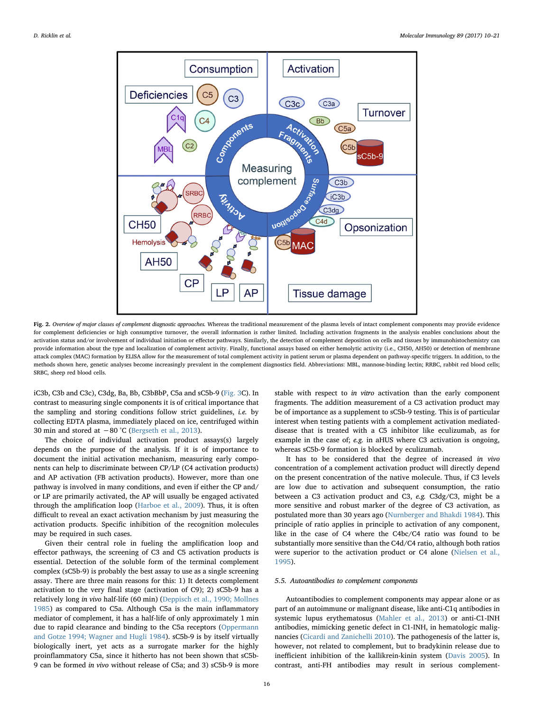<span id="page-6-0"></span>

Fig. 2. Overview of major classes of complement diagnostic approaches. Whereas the traditional measurement of the plasma levels of intact complement components may provide evidence for complement deficiencies or high consumptive turnover, the overall information is rather limited. Including activation fragments in the analysis enables conclusions about the activation status and/or involvement of individual initiation or effector pathways. Similarly, the detection of complement deposition on cells and tissues by immunohistochemistry can provide information about the type and localization of complement activity. Finally, functional assays based on either hemolytic activity (i.e., CH50, AH50) or detection of membrane attack complex (MAC) formation by ELISA allow for the measurement of total complement activity in patient serum or plasma dependent on pathway-specific triggers. In addition, to the methods shown here, genetic analyses become increasingly prevalent in the complement diagnostics field. Abbreviations: MBL, mannose-binding lectin; RRBC, rabbit red blood cells; SRBC, sheep red blood cells.

iC3b, C3b and C3c), C3dg, Ba, Bb, C3bBbP, C5a and sC5b-9 ([Fig. 3](#page-8-0)C). In contrast to measuring single components it is of critical importance that the sampling and storing conditions follow strict guidelines, i.e. by collecting EDTA plasma, immediately placed on ice, centrifuged within 30 min and stored at −80 °C ([Bergseth et al., 2013](#page-9-6)).

The choice of individual activation product assays(s) largely depends on the purpose of the analysis. If it is of importance to document the initial activation mechanism, measuring early components can help to discriminate between CP/LP (C4 activation products) and AP activation (FB activation products). However, more than one pathway is involved in many conditions, and even if either the CP and/ or LP are primarily activated, the AP will usually be engaged activated through the amplification loop ([Harboe et al., 2009\)](#page-10-2). Thus, it is often difficult to reveal an exact activation mechanism by just measuring the activation products. Specific inhibition of the recognition molecules may be required in such cases.

Given their central role in fueling the amplification loop and effector pathways, the screening of C3 and C5 activation products is essential. Detection of the soluble form of the terminal complement complex (sC5b-9) is probably the best assay to use as a single screening assay. There are three main reasons for this: 1) It detects complement activation to the very final stage (activation of C9); 2) sC5b-9 has a relatively long in vivo half-life (60 min) ([Deppisch et al., 1990; Mollnes](#page-9-7) [1985\)](#page-9-7) as compared to C5a. Although C5a is the main inflammatory mediator of complement, it has a half-life of only approximately 1 min due to rapid clearance and binding to the C5a receptors [\(Oppermann](#page-10-22) [and Gotze 1994; Wagner and Hugli 1984\)](#page-10-22). sC5b-9 is by itself virtually biologically inert, yet acts as a surrogate marker for the highly proinflammatory C5a, since it hitherto has not been shown that sC5b-9 can be formed in vivo without release of C5a; and 3) sC5b-9 is more

stable with respect to in vitro activation than the early component fragments. The addition measurement of a C3 activation product may be of importance as a supplement to sC5b-9 testing. This is of particular interest when testing patients with a complement activation mediateddisease that is treated with a C5 inhibitor like eculizumab, as for example in the case of; e.g. in aHUS where C3 activation is ongoing, whereas sC5b-9 formation is blocked by eculizumab.

It has to be considered that the degree of increased in vivo concentration of a complement activation product will directly depend on the present concentration of the native molecule. Thus, if C3 levels are low due to activation and subsequent consumption, the ratio between a C3 activation product and C3, e.g. C3dg/C3, might be a more sensitive and robust marker of the degree of C3 activation, as postulated more than 30 years ago ([Nurnberger and Bhakdi 1984](#page-10-23)). This principle of ratio applies in principle to activation of any component, like in the case of C4 where the C4bc/C4 ratio was found to be substantially more sensitive than the C4d/C4 ratio, although both ratios were superior to the activation product or C4 alone ([Nielsen et al.,](#page-10-24) [1995\)](#page-10-24).

# 5.5. Autoantibodies to complement components

Autoantibodies to complement components may appear alone or as part of an autoimmune or malignant disease, like anti-C1q antibodies in systemic lupus erythematosus ([Mahler et al., 2013](#page-10-25)) or anti-C1-INH antibodies, mimicking genetic defect in C1-INH, in hematologic malignancies [\(Cicardi and Zanichelli 2010\)](#page-9-8). The pathogenesis of the latter is, however, not related to complement, but to bradykinin release due to inefficient inhibition of the kallikrein-kinin system [\(Davis 2005](#page-9-9)). In contrast, anti-FH antibodies may result in serious complement-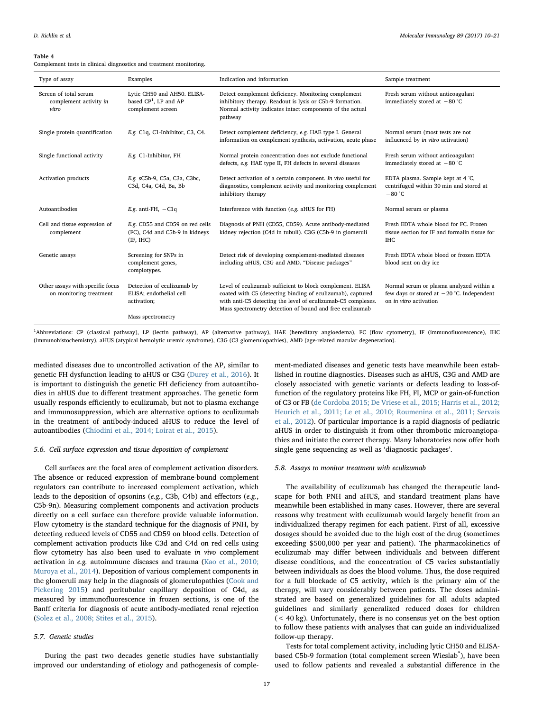<span id="page-7-0"></span>Complement tests in clinical diagnostics and treatment monitoring.

| Type of assay                                               | Examples                                                                       | Indication and information                                                                                                                                                                                                                          | Sample treatment                                                                                                  |
|-------------------------------------------------------------|--------------------------------------------------------------------------------|-----------------------------------------------------------------------------------------------------------------------------------------------------------------------------------------------------------------------------------------------------|-------------------------------------------------------------------------------------------------------------------|
| Screen of total serum<br>complement activity in<br>vitro    | Lytic CH50 and AH50. ELISA-<br>based $CP1$ , LP and AP<br>complement screen    | Detect complement deficiency. Monitoring complement<br>inhibitory therapy. Readout is lysis or C5b-9 formation.<br>Normal activity indicates intact components of the actual<br>pathway                                                             | Fresh serum without anticoagulant<br>immediately stored at $-80$ °C                                               |
| Single protein quantification                               | E.g. C1q, C1-Inhibitor, C3, C4.                                                | Detect complement deficiency, e.g. HAE type I. General<br>information on complement synthesis, activation, acute phase                                                                                                                              | Normal serum (most tests are not<br>influenced by in vitro activation)                                            |
| Single functional activity                                  | E.g. C1-Inhibitor, FH                                                          | Normal protein concentration does not exclude functional<br>defects, e.g. HAE type II, FH defects in several diseases                                                                                                                               | Fresh serum without anticoagulant<br>immediately stored at $-80$ °C                                               |
| Activation products                                         | E.g. sC5b-9, C5a, C3a, C3bc,<br>C3d, C4a, C4d, Ba, Bb                          | Detect activation of a certain component. In vivo useful for<br>diagnostics, complement activity and monitoring complement<br>inhibitory therapy                                                                                                    | EDTA plasma. Sample kept at 4 °C,<br>centrifuged within 30 min and stored at<br>$-80 °C$                          |
| Autoantibodies                                              | E.g. anti-FH, $-C1q$                                                           | Interference with function (e.g. aHUS for FH)                                                                                                                                                                                                       | Normal serum or plasma                                                                                            |
| Cell and tissue expression of<br>complement                 | E.g. CD55 and CD59 on red cells<br>(FC), C4d and C5b-9 in kidneys<br>(IF, IHC) | Diagnosis of PNH (CD55, CD59). Acute antibody-mediated<br>kidney rejection (C4d in tubuli). C3G (C5b-9 in glomeruli                                                                                                                                 | Fresh EDTA whole blood for FC. Frozen<br>tissue section for IF and formalin tissue for<br><b>IHC</b>              |
| Genetic assays                                              | Screening for SNPs in<br>complement genes,<br>complotypes.                     | Detect risk of developing complement-mediated diseases<br>including aHUS, C3G and AMD. "Disease packages"                                                                                                                                           | Fresh EDTA whole blood or frozen EDTA<br>blood sent on dry ice                                                    |
| Other assays with specific focus<br>on monitoring treatment | Detection of eculizumab by<br>ELISA; endothelial cell<br>activation;           | Level of eculizumab sufficient to block complement. ELISA<br>coated with C5 (detecting binding of eculizumab), captured<br>with anti-C5 detecting the level of eculizumab-C5 complexes.<br>Mass spectrometry detection of bound and free eculizumab | Normal serum or plasma analyzed within a<br>few days or stored at $-20$ °C. Independent<br>on in vitro activation |
|                                                             | Mass spectrometry                                                              |                                                                                                                                                                                                                                                     |                                                                                                                   |

1 Abbreviations: CP (classical pathway), LP (lectin pathway), AP (alternative pathway), HAE (hereditary angioedema), FC (flow cytometry), IF (immunofluorescence), IHC (immunohistochemistry), aHUS (atypical hemolytic uremic syndrome), C3G (C3 glomerulopathies), AMD (age-related macular degeneration).

mediated diseases due to uncontrolled activation of the AP, similar to genetic FH dysfunction leading to aHUS or C3G ([Durey et al., 2016\)](#page-9-10). It is important to distinguish the genetic FH deficiency from autoantibodies in aHUS due to different treatment approaches. The genetic form usually responds efficiently to eculizumab, but not to plasma exchange and immunosuppression, which are alternative options to eculizumab in the treatment of antibody-induced aHUS to reduce the level of autoantibodies [\(Chiodini et al., 2014; Loirat et al., 2015](#page-9-11)).

#### 5.6. Cell surface expression and tissue deposition of complement

Cell surfaces are the focal area of complement activation disorders. The absence or reduced expression of membrane-bound complement regulators can contribute to increased complement activation, which leads to the deposition of opsonins (e.g., C3b, C4b) and effectors (e.g., C5b-9n). Measuring complement components and activation products directly on a cell surface can therefore provide valuable information. Flow cytometry is the standard technique for the diagnosis of PNH, by detecting reduced levels of CD55 and CD59 on blood cells. Detection of complement activation products like C3d and C4d on red cells using flow cytometry has also been used to evaluate in vivo complement activation in e.g. autoimmune diseases and trauma ([Kao et al., 2010;](#page-10-26) [Muroya et al., 2014\)](#page-10-26). Deposition of various complement components in the glomeruli may help in the diagnosis of glomerulopathies [\(Cook and](#page-9-12) [Pickering 2015\)](#page-9-12) and peritubular capillary deposition of C4d, as measured by immunofluorescence in frozen sections, is one of the Banff criteria for diagnosis of acute antibody-mediated renal rejection ([Solez et al., 2008; Stites et al., 2015\)](#page-10-27).

### 5.7. Genetic studies

During the past two decades genetic studies have substantially improved our understanding of etiology and pathogenesis of complement-mediated diseases and genetic tests have meanwhile been established in routine diagnostics. Diseases such as aHUS, C3G and AMD are closely associated with genetic variants or defects leading to loss-offunction of the regulatory proteins like FH, FI, MCP or gain-of-function of C3 or FB [\(de Cordoba 2015; De Vriese et al., 2015; Harris et al., 2012;](#page-9-13) [Heurich et al., 2011; Le et al., 2010; Roumenina et al., 2011; Servais](#page-9-13) [et al., 2012](#page-9-13)). Of particular importance is a rapid diagnosis of pediatric aHUS in order to distinguish it from other thrombotic microangiopathies and initiate the correct therapy. Many laboratories now offer both single gene sequencing as well as 'diagnostic packages'.

# 5.8. Assays to monitor treatment with eculizumab

The availability of eculizumab has changed the therapeutic landscape for both PNH and aHUS, and standard treatment plans have meanwhile been established in many cases. However, there are several reasons why treatment with eculizumab would largely benefit from an individualized therapy regimen for each patient. First of all, excessive dosages should be avoided due to the high cost of the drug (sometimes exceeding \$500,000 per year and patient). The pharmacokinetics of eculizumab may differ between individuals and between different disease conditions, and the concentration of C5 varies substantially between individuals as does the blood volume. Thus, the dose required for a full blockade of C5 activity, which is the primary aim of the therapy, will vary considerably between patients. The doses administrated are based on generalized guidelines for all adults adapted guidelines and similarly generalized reduced doses for children (< 40 kg). Unfortunately, there is no consensus yet on the best option to follow these patients with analyses that can guide an individualized follow-up therapy.

Tests for total complement activity, including lytic CH50 and ELISAbased C5b-9 formation (total complement screen Wieslab®), have been used to follow patients and revealed a substantial difference in the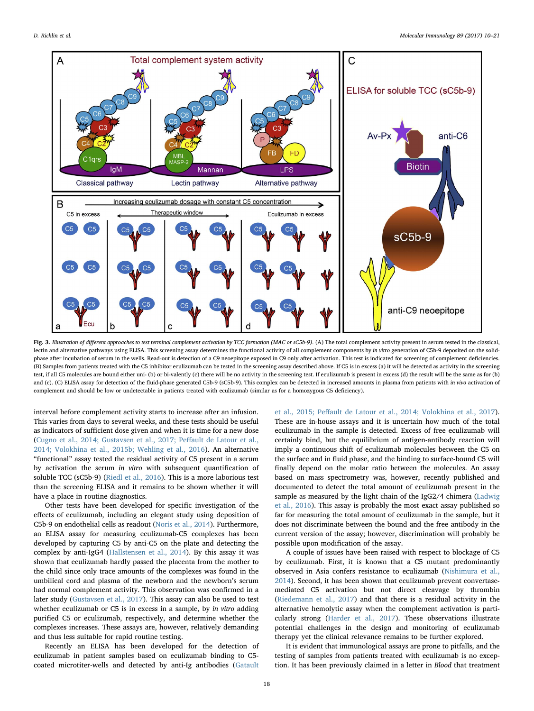<span id="page-8-0"></span>

Fig. 3. Illustration of different approaches to test terminal complement activation by TCC formation (MAC or sC5b-9). (A) The total complement activity present in serum tested in the classical, lectin and alternative pathways using ELISA. This screening assay determines the functional activity of all complement components by in vitro generation of C5b-9 deposited on the solidphase after incubation of serum in the wells. Read-out is detection of a C9 neoepitope exposed in C9 only after activation. This test is indicated for screening of complement deficiencies. (B) Samples from patients treated with the C5 inhibitor eculizumab can be tested in the screening assay described above. If C5 is in excess (a) it will be detected as activity in the screening test, if all C5 molecules are bound either uni- (b) or bi-valently (c) there will be no activity in the screening test. If eculizumab is present in excess (d) the result will be the same as for (b) and (c). (C) ELISA assay for detection of the fluid-phase generated C5b-9 (sC5b-9). This complex can be detected in increased amounts in plasma from patients with in vivo activation of complement and should be low or undetectable in patients treated with eculizumab (similar as for a homozygous C5 deficiency).

interval before complement activity starts to increase after an infusion. This varies from days to several weeks, and these tests should be useful as indicators of sufficient dose given and when it is time for a new dose ([Cugno et al., 2014; Gustavsen et al., 2017; Pe](#page-9-14)ffault de Latour et al., [2014; Volokhina et al., 2015b; Wehling et al., 2016\)](#page-9-14). An alternative "functional" assay tested the residual activity of C5 present in a serum by activation the serum in vitro with subsequent quantification of soluble TCC (sC5b-9) [\(Riedl et al., 2016\)](#page-10-28). This is a more laborious test than the screening ELISA and it remains to be shown whether it will have a place in routine diagnostics.

Other tests have been developed for specific investigation of the effects of eculizumab, including an elegant study using deposition of C5b-9 on endothelial cells as readout ([Noris et al., 2014\)](#page-10-29). Furthermore, an ELISA assay for measuring eculizumab-C5 complexes has been developed by capturing C5 by anti-C5 on the plate and detecting the complex by anti-IgG4 ([Hallstensen et al., 2014\)](#page-9-15). By this assay it was shown that eculizumab hardly passed the placenta from the mother to the child since only trace amounts of the complexes was found in the umbilical cord and plasma of the newborn and the newborn's serum had normal complement activity. This observation was confirmed in a later study ([Gustavsen et al., 2017\)](#page-9-16). This assay can also be used to test whether eculizumab or C5 is in excess in a sample, by in vitro adding purified C5 or eculizumab, respectively, and determine whether the complexes increases. These assays are, however, relatively demanding and thus less suitable for rapid routine testing.

Recently an ELISA has been developed for the detection of eculizumab in patient samples based on eculizumab binding to C5 coated microtiter-wells and detected by anti-Ig antibodies ([Gatault](#page-9-17)

et al., 2015; Peff[ault de Latour et al., 2014; Volokhina et al., 2017](#page-9-17)). These are in-house assays and it is uncertain how much of the total eculizumab in the sample is detected. Excess of free eculizumab will certainly bind, but the equilibrium of antigen-antibody reaction will imply a continuous shift of eculizumab molecules between the C5 on the surface and in fluid phase, and the binding to surface-bound C5 will finally depend on the molar ratio between the molecules. An assay based on mass spectrometry was, however, recently published and documented to detect the total amount of eculizumab present in the sample as measured by the light chain of the IgG2/4 chimera [\(Ladwig](#page-10-30) [et al., 2016](#page-10-30)). This assay is probably the most exact assay published so far for measuring the total amount of eculizumab in the sample, but it does not discriminate between the bound and the free antibody in the current version of the assay; however, discrimination will probably be possible upon modification of the assay.

A couple of issues have been raised with respect to blockage of C5 by eculizumab. First, it is known that a C5 mutant predominantly observed in Asia confers resistance to eculizumab [\(Nishimura et al.,](#page-10-31) [2014\)](#page-10-31). Second, it has been shown that eculizumab prevent convertasemediated C5 activation but not direct cleavage by thrombin ([Riedemann et al., 2017](#page-10-32)) and that there is a residual activity in the alternative hemolytic assay when the complement activation is particularly strong [\(Harder et al., 2017](#page-10-33)). These observations illustrate potential challenges in the design and monitoring of eculizumab therapy yet the clinical relevance remains to be further explored.

It is evident that immunological assays are prone to pitfalls, and the testing of samples from patients treated with eculizumab is no exception. It has been previously claimed in a letter in Blood that treatment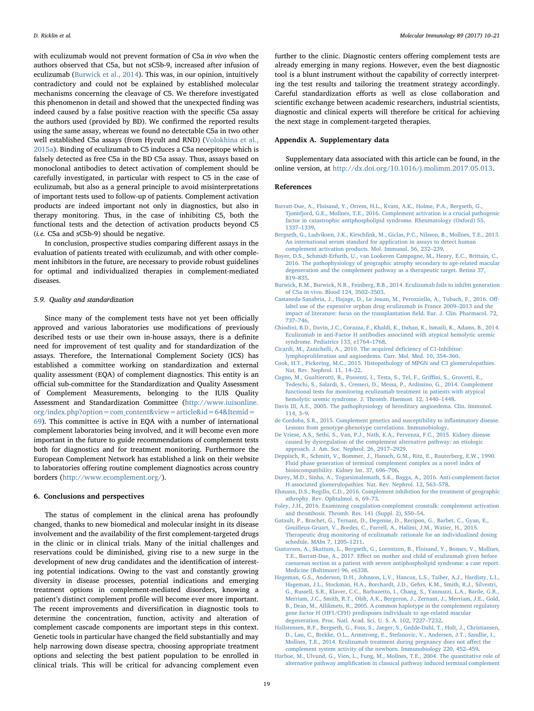with eculizumab would not prevent formation of C5a in vivo when the authors observed that C5a, but not sC5b-9, increased after infusion of eculizumab [\(Burwick et al., 2014\)](#page-9-18). This was, in our opinion, intuitively contradictory and could not be explained by established molecular mechanisms concerning the cleavage of C5. We therefore investigated this phenomenon in detail and showed that the unexpected finding was indeed caused by a false positive reaction with the specific C5a assay the authors used (provided by BD). We confirmed the reported results using the same assay, whereas we found no detectable C5a in two other well established C5a assays (from Hycult and RND) [\(Volokhina et al.,](#page-10-34) [2015a\)](#page-10-34). Binding of eculizumab to C5 induces a C5a neoepitope which is falsely detected as free C5a in the BD C5a assay. Thus, assays based on monoclonal antibodies to detect activation of complement should be carefully investigated, in particular with respect to C5 in the case of eculizumab, but also as a general principle to avoid misinterpretations of important tests used to follow-up of patients. Complement activation products are indeed important not only in diagnostics, but also in therapy monitoring. Thus, in the case of inhibiting C5, both the functional tests and the detection of activation products beyond C5 (i.e. C5a and sC5b-9) should be negative.

In conclusion, prospective studies comparing different assays in the evaluation of patients treated with eculizumab, and with other complement inhibitors in the future, are necessary to provide robust guidelines for optimal and individualized therapies in complement-mediated diseases.

#### 5.9. Quality and standardization

Since many of the complement tests have not yet been officially approved and various laboratories use modifications of previously described tests or use their own in-house assays, there is a definite need for improvement of test quality and for standardization of the assays. Therefore, the International Complement Society (ICS) has established a committee working on standardization and external quality assessment (EQA) of complement diagnostics. This entity is an official sub-committee for the Standardization and Quality Assessment of Complement Measurements, belonging to the IUIS Quality Assessment and Standardization Committee [\(http://www.iuisonline.](http://www.iuisonline.org/index.php?option=com_content%26view=article%26id=64%26Itemid=69) [org/index.php?option=com\\_content&view=article&id=64&Itemid=](http://www.iuisonline.org/index.php?option=com_content%26view=article%26id=64%26Itemid=69) [69\)](http://www.iuisonline.org/index.php?option=com_content%26view=article%26id=64%26Itemid=69). This committee is active in EQA with a number of international complement laboratories being involved, and it will become even more important in the future to guide recommendations of complement tests both for diagnostics and for treatment monitoring. Furthermore the European Complement Network has established a link on their website to laboratories offering routine complement diagnostics across country borders (<http://www.ecomplement.org/>).

#### 6. Conclusions and perspectives

The status of complement in the clinical arena has profoundly changed, thanks to new biomedical and molecular insight in its disease involvement and the availability of the first complement-targeted drugs in the clinic or in clinical trials. Many of the initial challenges and reservations could be diminished, giving rise to a new surge in the development of new drug candidates and the identification of interesting potential indications. Owing to the vast and constantly growing diversity in disease processes, potential indications and emerging treatment options in complement-mediated disorders, knowing a patient's distinct complement profile will become ever more important. The recent improvements and diversification in diagnostic tools to determine the concentration, function, activity and alteration of complement cascade components are important steps in this context. Genetic tools in particular have changed the field substantially and may help narrowing down disease spectra, choosing appropriate treatment options and selecting the best patient population to be enrolled in clinical trials. This will be critical for advancing complement even

further to the clinic. Diagnostic centers offering complement tests are already emerging in many regions. However, even the best diagnostic tool is a blunt instrument without the capability of correctly interpreting the test results and tailoring the treatment strategy accordingly. Careful standardization efforts as well as close collaboration and scientific exchange between academic researchers, industrial scientists, diagnostic and clinical experts will therefore be critical for achieving the next stage in complement-targeted therapies.

# Appendix A. Supplementary data

Supplementary data associated with this article can be found, in the online version, at [http://dx.doi.org/10.1016/j.molimm.2017.05.013.](http://dx.doi.org/10.1016/j.molimm.2017.05.013)

#### References

- <span id="page-9-5"></span>[Barratt-Due, A., Floisand, Y., Orrem, H.L., Kvam, A.K., Holme, P.A., Bergseth, G.,](http://refhub.elsevier.com/S0161-5890(17)30138-4/sbref0005) [Tjonnfjord, G.E., Mollnes, T.E., 2016. Complement activation is a crucial pathogenic](http://refhub.elsevier.com/S0161-5890(17)30138-4/sbref0005) [factor in catastrophic antiphospholipid syndrome. Rheumatology \(Oxford\) 55,](http://refhub.elsevier.com/S0161-5890(17)30138-4/sbref0005) 1337–[1339](http://refhub.elsevier.com/S0161-5890(17)30138-4/sbref0005).
- <span id="page-9-6"></span>Bergseth, G., Ludviksen, J.K., Kirschfi[nk, M., Giclas, P.C., Nilsson, B., Mollnes, T.E., 2013.](http://refhub.elsevier.com/S0161-5890(17)30138-4/sbref0010) [An international serum standard for application in assays to detect human](http://refhub.elsevier.com/S0161-5890(17)30138-4/sbref0010) [complement activation products. Mol. Immunol. 56, 232](http://refhub.elsevier.com/S0161-5890(17)30138-4/sbref0010)–239.
- <span id="page-9-3"></span>[Boyer, D.S., Schmidt-Erfurth, U., van Lookeren Campagne, M., Henry, E.C., Brittain, C.,](http://refhub.elsevier.com/S0161-5890(17)30138-4/sbref0015) [2016. The pathophysiology of geographic atrophy secondary to age-related macular](http://refhub.elsevier.com/S0161-5890(17)30138-4/sbref0015) [degeneration and the complement pathway as a therapeutic target. Retina 37,](http://refhub.elsevier.com/S0161-5890(17)30138-4/sbref0015) 819–[835](http://refhub.elsevier.com/S0161-5890(17)30138-4/sbref0015).
- <span id="page-9-18"></span>[Burwick, R.M., Burwick, N.R., Feinberg, B.B., 2014. Eculizumab fails to inhibit generation](http://refhub.elsevier.com/S0161-5890(17)30138-4/sbref0020) [of C5a in vivo. Blood 124, 3502](http://refhub.elsevier.com/S0161-5890(17)30138-4/sbref0020)–3503.
- <span id="page-9-4"></span>[Castaneda-Sanabria, J., Hajage, D., Le Jouan, M., Perozziello, A., Tubach, F., 2016. O](http://refhub.elsevier.com/S0161-5890(17)30138-4/sbref0025)ff[label use of the expensive orphan drug eculizumab in France 2009](http://refhub.elsevier.com/S0161-5890(17)30138-4/sbref0025)–2013 and the [impact of literature: focus on the transplantation](http://refhub.elsevier.com/S0161-5890(17)30138-4/sbref0025) field. Eur. J. Clin. Pharmacol. 72, 737–[746](http://refhub.elsevier.com/S0161-5890(17)30138-4/sbref0025).
- <span id="page-9-11"></span>[Chiodini, B.D., Davin, J.C., Corazza, F., Khaldi, K., Dahan, K., Ismaili, K., Adams, B., 2014.](http://refhub.elsevier.com/S0161-5890(17)30138-4/sbref0030) [Eculizumab in anti-Factor H antibodies associated with atypical hemolytic uremic](http://refhub.elsevier.com/S0161-5890(17)30138-4/sbref0030) [syndrome. Pediatrics 133, e1764](http://refhub.elsevier.com/S0161-5890(17)30138-4/sbref0030)–1768.
- <span id="page-9-8"></span>[Cicardi, M., Zanichelli, A., 2010. The acquired de](http://refhub.elsevier.com/S0161-5890(17)30138-4/sbref0035)ficiency of C1-Inhibitor: [lymphoproliferation and angioedema. Curr. Mol. Med. 10, 354](http://refhub.elsevier.com/S0161-5890(17)30138-4/sbref0035)–360.
- <span id="page-9-12"></span>[Cook, H.T., Pickering, M.C., 2015. Histopathology of MPGN and C3 glomerulopathies.](http://refhub.elsevier.com/S0161-5890(17)30138-4/sbref0040) [Nat. Rev. Nephrol. 11, 14](http://refhub.elsevier.com/S0161-5890(17)30138-4/sbref0040)–22.
- <span id="page-9-14"></span>[Cugno, M., Gualtierotti, R., Possenti, I., Testa, S., Tel, F., Gri](http://refhub.elsevier.com/S0161-5890(17)30138-4/sbref0045)ffini, S., Grovetti, E., [Tedeschi, S., Salardi, S., Cresseri, D., Messa, P., Ardissino, G., 2014. Complement](http://refhub.elsevier.com/S0161-5890(17)30138-4/sbref0045) [functional tests for monitoring eculizumab treatment in patients with atypical](http://refhub.elsevier.com/S0161-5890(17)30138-4/sbref0045) [hemolytic uremic syndrome. J. Thromb. Haemost. 12, 1440](http://refhub.elsevier.com/S0161-5890(17)30138-4/sbref0045)-1448.
- <span id="page-9-9"></span>[Davis III, A.E., 2005. The pathophysiology of hereditary angioedema. Clin. Immunol.](http://refhub.elsevier.com/S0161-5890(17)30138-4/sbref0050) [114, 3](http://refhub.elsevier.com/S0161-5890(17)30138-4/sbref0050)–9.
- <span id="page-9-13"></span>[de Cordoba, S.R., 2015. Complement genetics and susceptibility to in](http://refhub.elsevier.com/S0161-5890(17)30138-4/sbref0055)flammatory disease. [Lessons from genotype-phenotype correlations. Immunobiology](http://refhub.elsevier.com/S0161-5890(17)30138-4/sbref0055).
- [De Vriese, A.S., Sethi, S., Van, P.J., Nath, K.A., Fervenza, F.C., 2015. Kidney disease](http://refhub.elsevier.com/S0161-5890(17)30138-4/sbref0060) [caused by dysregulation of the complement alternative pathway: an etiologic](http://refhub.elsevier.com/S0161-5890(17)30138-4/sbref0060) [approach. J. Am. Soc. Nephrol. 26, 2917](http://refhub.elsevier.com/S0161-5890(17)30138-4/sbref0060)–2929.
- <span id="page-9-7"></span>[Deppisch, R., Schmitt, V., Bommer, J., Hansch, G.M., Ritz, E., Rauterberg, E.W., 1990.](http://refhub.elsevier.com/S0161-5890(17)30138-4/sbref0065) [Fluid phase generation of terminal complement complex as a novel index of](http://refhub.elsevier.com/S0161-5890(17)30138-4/sbref0065) [bioincompatibility. Kidney Int. 37, 696](http://refhub.elsevier.com/S0161-5890(17)30138-4/sbref0065)–706.
- <span id="page-9-10"></span>[Durey, M.D., Sinha, A., Togarsimalemath, S.K., Bagga, A., 2016. Anti-complement-factor](http://refhub.elsevier.com/S0161-5890(17)30138-4/sbref0070) [H-associated glomerulopathies. Nat. Rev. Nephrol. 12, 563](http://refhub.elsevier.com/S0161-5890(17)30138-4/sbref0070)–578.
- <span id="page-9-2"></span>[Ehmann, D.S., Regillo, C.D., 2016. Complement inhibition for the treatment of geographic](http://refhub.elsevier.com/S0161-5890(17)30138-4/sbref0075) [athrophy. Rev. Ophtalmol. 6, 69](http://refhub.elsevier.com/S0161-5890(17)30138-4/sbref0075)–73.
- <span id="page-9-0"></span>[Foley, J.H., 2016. Examining coagulation-complement crosstalk: complement activation](http://refhub.elsevier.com/S0161-5890(17)30138-4/sbref0080) [and thrombosis. Thromb. Res. 141 \(Suppl. 2\), S50](http://refhub.elsevier.com/S0161-5890(17)30138-4/sbref0080)–54.
- <span id="page-9-17"></span>[Gatault, P., Brachet, G., Ternant, D., Degenne, D., Recipon, G., Barbet, C., Gyan, E.,](http://refhub.elsevier.com/S0161-5890(17)30138-4/sbref0085) [Gouilleux-Gruart, V., Bordes, C., Farrell, A., Halimi, J.M., Watier, H., 2015.](http://refhub.elsevier.com/S0161-5890(17)30138-4/sbref0085) Therapeutic [drug monitoring of eculizumab: rationale for an individualized dosing](http://refhub.elsevier.com/S0161-5890(17)30138-4/sbref0085) [schedule. MAbs 7, 1205](http://refhub.elsevier.com/S0161-5890(17)30138-4/sbref0085)–1211.
- <span id="page-9-16"></span>[Gustavsen, A., Skattum, L., Bergseth, G., Lorentzen, B., Floisand, Y., Bosnes, V., Mollnes,](http://refhub.elsevier.com/S0161-5890(17)30138-4/sbref0090) T.E., Barratt-Due, A., 2017. Eff[ect on mother and child of eculizumab given before](http://refhub.elsevier.com/S0161-5890(17)30138-4/sbref0090) [caesarean section in a patient with severe antiphospholipid syndrome: a case report.](http://refhub.elsevier.com/S0161-5890(17)30138-4/sbref0090) [Medicine \(Baltimore\) 96, e6338.](http://refhub.elsevier.com/S0161-5890(17)30138-4/sbref0090)
- <span id="page-9-1"></span>[Hageman, G.S., Anderson, D.H., Johnson, L.V., Hancox, L.S., Taiber, A.J., Hardisty, L.I.,](http://refhub.elsevier.com/S0161-5890(17)30138-4/sbref0095) [Hageman, J.L., Stockman, H.A., Borchardt, J.D., Gehrs, K.M., Smith, R.J., Silvestri,](http://refhub.elsevier.com/S0161-5890(17)30138-4/sbref0095) [G., Russell, S.R., Klaver, C.C., Barbazetto, I., Chang, S., Yannuzzi, L.A., Barile, G.R.,](http://refhub.elsevier.com/S0161-5890(17)30138-4/sbref0095) [Merriam, J.C., Smith, R.T., Olsh, A.K., Bergeron, J., Zernant, J., Merriam, J.E., Gold,](http://refhub.elsevier.com/S0161-5890(17)30138-4/sbref0095) [B., Dean, M., Allikmets, R., 2005. A common haplotype in the complement regulatory](http://refhub.elsevier.com/S0161-5890(17)30138-4/sbref0095) [gene factor H \(HF1/CFH\) predisposes individuals to age-related macular](http://refhub.elsevier.com/S0161-5890(17)30138-4/sbref0095) [degeneration. Proc. Natl. Acad. Sci. U. S. A. 102, 7227](http://refhub.elsevier.com/S0161-5890(17)30138-4/sbref0095)–7232.
- <span id="page-9-15"></span>[Hallstensen, R.F., Bergseth, G., Foss, S., Jaeger, S., Gedde-Dahl, T., Holt, J., Christiansen,](http://refhub.elsevier.com/S0161-5890(17)30138-4/sbref0100) [D., Lau, C., Brekke, O.L., Armstrong, E., Stefanovic, V., Andersen, J.T., Sandlie, I.,](http://refhub.elsevier.com/S0161-5890(17)30138-4/sbref0100) [Mollnes, T.E., 2014. Eculizumab treatment during pregnancy does not a](http://refhub.elsevier.com/S0161-5890(17)30138-4/sbref0100)ffect the [complement system activity of the newborn. Immunobiology 220, 452](http://refhub.elsevier.com/S0161-5890(17)30138-4/sbref0100)–459.
- [Harboe, M., Ulvund, G., Vien, L., Fung, M., Mollnes, T.E., 2004. The quantitative role of](http://refhub.elsevier.com/S0161-5890(17)30138-4/sbref0105) alternative pathway amplifi[cation in classical pathway induced terminal complement](http://refhub.elsevier.com/S0161-5890(17)30138-4/sbref0105)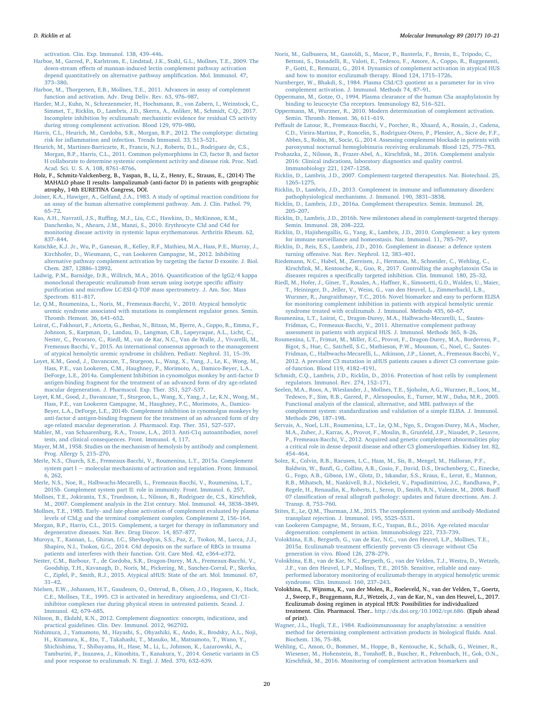[activation. Clin. Exp. Immunol. 138, 439](http://refhub.elsevier.com/S0161-5890(17)30138-4/sbref0105)–446.

- <span id="page-10-2"></span>[Harboe, M., Garred, P., Karlstrom, E., Lindstad, J.K., Stahl, G.L., Mollnes, T.E., 2009. The](http://refhub.elsevier.com/S0161-5890(17)30138-4/sbref0110) down-stream eff[ects of mannan-induced lectin complement pathway activation](http://refhub.elsevier.com/S0161-5890(17)30138-4/sbref0110) [depend quantitatively on alternative pathway ampli](http://refhub.elsevier.com/S0161-5890(17)30138-4/sbref0110)fication. Mol. Immunol. 47, 373–[380](http://refhub.elsevier.com/S0161-5890(17)30138-4/sbref0110).
- <span id="page-10-18"></span>[Harboe, M., Thorgersen, E.B., Mollnes, T.E., 2011. Advances in assay of complement](http://refhub.elsevier.com/S0161-5890(17)30138-4/sbref0115) [function and activation. Adv. Drug Deliv. Rev. 63, 976](http://refhub.elsevier.com/S0161-5890(17)30138-4/sbref0115)–987.
- <span id="page-10-33"></span>[Harder, M.J., Kuhn, N., Schrezenmeier, H., Hochsmann, B., von Zabern, I., Weinstock, C.,](http://refhub.elsevier.com/S0161-5890(17)30138-4/sbref0120) [Simmet, T., Ricklin, D., Lambris, J.D., Skerra, A., Anliker, M., Schmidt, C.Q., 2017.](http://refhub.elsevier.com/S0161-5890(17)30138-4/sbref0120) [Incomplete inhibition by eculizumab: mechanistic evidence for residual C5 activity](http://refhub.elsevier.com/S0161-5890(17)30138-4/sbref0120) [during strong complement activation. Blood 129, 970](http://refhub.elsevier.com/S0161-5890(17)30138-4/sbref0120)–980.
- <span id="page-10-7"></span>[Harris, C.L., Heurich, M., Cordoba, S.R., Morgan, B.P., 2012. The complotype: dictating](http://refhub.elsevier.com/S0161-5890(17)30138-4/sbref0125) risk for infl[ammation and infection. Trends Immunol. 33, 513](http://refhub.elsevier.com/S0161-5890(17)30138-4/sbref0125)–521.
- [Heurich, M., Martinez-Barricarte, R., Francis, N.J., Roberts, D.L., Rodriguez de, C.S.,](http://refhub.elsevier.com/S0161-5890(17)30138-4/sbref0130) [Morgan, B.P., Harris, C.L., 2011. Common polymorphisms in C3, factor B, and factor](http://refhub.elsevier.com/S0161-5890(17)30138-4/sbref0130) [H collaborate to determine systemic complement activity and disease risk. Proc. Natl.](http://refhub.elsevier.com/S0161-5890(17)30138-4/sbref0130) [Acad. Sci. U. S. A. 108, 8761](http://refhub.elsevier.com/S0161-5890(17)30138-4/sbref0130)–8766.
- <span id="page-10-17"></span>Holz, F., Schmitz-Valckenberg, B., Yaspan, B., Li, Z., Henry, E., Strauss, E., (2014) The MAHALO phase II results- lampalizumab (anti-factor D) in patients with geographic atrophy, 14th EURETINA Congress, DOI.
- <span id="page-10-19"></span>[Joiner, K.A., Hawiger, A., Gelfand, J.A., 1983. A study of optimal reaction conditions for](http://refhub.elsevier.com/S0161-5890(17)30138-4/sbref0140) [an assay of the human alternative complement pathway. Am. J. Clin. Pathol. 79,](http://refhub.elsevier.com/S0161-5890(17)30138-4/sbref0140) 65–[72](http://refhub.elsevier.com/S0161-5890(17)30138-4/sbref0140).
- <span id="page-10-26"></span>Kao, A.H., Navratil, J.S., Ruffi[ng, M.J., Liu, C.C., Hawkins, D., McKinnon, K.M.,](http://refhub.elsevier.com/S0161-5890(17)30138-4/sbref0145) [Danchenko, N., Ahearn, J.M., Manzi, S., 2010. Erythrocyte C3d and C4d for](http://refhub.elsevier.com/S0161-5890(17)30138-4/sbref0145) [monitoring disease activity in systemic lupus erythematosus. Arthritis Rheum. 62,](http://refhub.elsevier.com/S0161-5890(17)30138-4/sbref0145) 837–[844](http://refhub.elsevier.com/S0161-5890(17)30138-4/sbref0145).
- <span id="page-10-14"></span>[Katschke, K.J. Jr., Wu, P., Ganesan, R., Kelley, R.F., Mathieu, M.A., Hass, P.E., Murray, J.,](http://refhub.elsevier.com/S0161-5890(17)30138-4/sbref0150) [Kirchhofer, D., Wiesmann, C., van Lookeren Campagne, M., 2012. Inhibiting](http://refhub.elsevier.com/S0161-5890(17)30138-4/sbref0150) [alternative pathway complement activation by targeting the factor D exosite. J. Biol.](http://refhub.elsevier.com/S0161-5890(17)30138-4/sbref0150) [Chem. 287, 12886](http://refhub.elsevier.com/S0161-5890(17)30138-4/sbref0150)–12892.
- <span id="page-10-30"></span>[Ladwig, P.M., Barnidge, D.R., Willrich, M.A., 2016. Quanti](http://refhub.elsevier.com/S0161-5890(17)30138-4/sbref0155)fication of the IgG2/4 kappa [monoclonal therapeutic eculizumab from serum using isotype speci](http://refhub.elsevier.com/S0161-5890(17)30138-4/sbref0155)fic affinity purification and microfl[ow LC-ESI-Q-TOF mass spectrometry. J. Am. Soc. Mass](http://refhub.elsevier.com/S0161-5890(17)30138-4/sbref0155) [Spectrom. 811](http://refhub.elsevier.com/S0161-5890(17)30138-4/sbref0155)–817.

[Le, Q.M., Roumenina, L., Noris, M., Fremeaux-Bacchi, V., 2010. Atypical hemolytic](http://refhub.elsevier.com/S0161-5890(17)30138-4/sbref0160) [uremic syndrome associated with mutations in complement regulator genes. Semin.](http://refhub.elsevier.com/S0161-5890(17)30138-4/sbref0160) [Thromb. Hemost. 36, 641](http://refhub.elsevier.com/S0161-5890(17)30138-4/sbref0160)–652.

- [Loirat, C., Fakhouri, F., Ariceta, G., Besbas, N., Bitzan, M., Bjerre, A., Coppo, R., Emma, F.,](http://refhub.elsevier.com/S0161-5890(17)30138-4/sbref0165) [Johnson, S., Karpman, D., Landau, D., Langman, C.B., Lapeyraque, A.L., Licht, C.,](http://refhub.elsevier.com/S0161-5890(17)30138-4/sbref0165) [Nester, C., Pecoraro, C., Riedl, M., van de Kar, N.C., Van de Walle, J., Vivarelli, M.,](http://refhub.elsevier.com/S0161-5890(17)30138-4/sbref0165) [Fremeaux-Bacchi, V., 2015. An international consensus approach to the management](http://refhub.elsevier.com/S0161-5890(17)30138-4/sbref0165) [of atypical hemolytic uremic syndrome in children. Pediatr. Nephrol. 31, 15](http://refhub.elsevier.com/S0161-5890(17)30138-4/sbref0165)–39.
- <span id="page-10-16"></span>[Loyet, K.M., Good, J., Davancaze, T., Sturgeon, L., Wang, X., Yang, J., Le, K., Wong, M.,](http://refhub.elsevier.com/S0161-5890(17)30138-4/sbref0170) [Hass, P.E., van Lookeren, C.M., Haughney, P., Morimoto, A., Damico-Beyer, L.A.,](http://refhub.elsevier.com/S0161-5890(17)30138-4/sbref0170) [DeForge, L.E., 2014a. Complement Inhibition in cynomolgus monkey by anti-factor D](http://refhub.elsevier.com/S0161-5890(17)30138-4/sbref0170) [antigen-binding fragment for the treatment of an advanced form of dry age-related](http://refhub.elsevier.com/S0161-5890(17)30138-4/sbref0170) [macular degeneration. J. Pharmacol. Exp. Ther. 351, 527](http://refhub.elsevier.com/S0161-5890(17)30138-4/sbref0170)–537.
- <span id="page-10-15"></span>Loyet, [K.M., Good, J., Davancaze, T., Sturgeon, L., Wang, X., Yang, J., Le, K.N., Wong, M.,](http://refhub.elsevier.com/S0161-5890(17)30138-4/sbref0175) [Hass, P.E., van Lookeren Campagne, M., Haughney, P.C., Morimoto, A., Damico-](http://refhub.elsevier.com/S0161-5890(17)30138-4/sbref0175)[Beyer, L.A., DeForge, L.E., 2014b. Complement inhibition in cynomolgus monkeys by](http://refhub.elsevier.com/S0161-5890(17)30138-4/sbref0175) [anti-factor d antigen-binding fragment for the treatment of an advanced form of dry](http://refhub.elsevier.com/S0161-5890(17)30138-4/sbref0175) [age-related macular degeneration. J. Pharmacol. Exp. Ther. 351, 527](http://refhub.elsevier.com/S0161-5890(17)30138-4/sbref0175)–537.

<span id="page-10-25"></span>[Mahler, M., van Schaarenburg, R.A., Trouw, L.A., 2013. Anti-C1q autoantibodies, novel](http://refhub.elsevier.com/S0161-5890(17)30138-4/sbref0180) [tests, and clinical consequences. Front. Immunol. 4, 117](http://refhub.elsevier.com/S0161-5890(17)30138-4/sbref0180).

- [Mayer, M.M., 1958. Studies on the mechanism of hemolysis by antibody and complement.](http://refhub.elsevier.com/S0161-5890(17)30138-4/sbref0185) [Prog. Allergy 5, 215](http://refhub.elsevier.com/S0161-5890(17)30138-4/sbref0185)–270.
- <span id="page-10-1"></span>[Merle, N.S., Church, S.E., Fremeaux-Bacchi, V., Roumenina, L.T., 2015a. Complement](http://refhub.elsevier.com/S0161-5890(17)30138-4/sbref0190) system part I − [molecular mechanisms of activation and regulation. Front. Immunol.](http://refhub.elsevier.com/S0161-5890(17)30138-4/sbref0190) [6, 262.](http://refhub.elsevier.com/S0161-5890(17)30138-4/sbref0190)
- <span id="page-10-3"></span>[Merle, N.S., Noe, R., Halbwachs-Mecarelli, L., Fremeaux-Bacchi, V., Roumenina, L.T.,](http://refhub.elsevier.com/S0161-5890(17)30138-4/sbref0195) [2015b. Complement system part II: role in immunity. Front. Immunol. 6, 257](http://refhub.elsevier.com/S0161-5890(17)30138-4/sbref0195).
- <span id="page-10-12"></span>[Mollnes, T.E., Jokiranta, T.S., Truedsson, L., Nilsson, B., Rodriguez de, C.S., Kirsch](http://refhub.elsevier.com/S0161-5890(17)30138-4/sbref0200)fink, [M., 2007. Complement analysis in the 21st century. Mol. Immunol. 44, 3838](http://refhub.elsevier.com/S0161-5890(17)30138-4/sbref0200)–3849.
- [Mollnes, T.E., 1985. Early- and late-phase activation of complement evaluated by plasma](http://refhub.elsevier.com/S0161-5890(17)30138-4/sbref0205) [levels of C3d,g and the terminal complement complex. Complement 2, 156](http://refhub.elsevier.com/S0161-5890(17)30138-4/sbref0205)–164.
- <span id="page-10-9"></span>[Morgan, B.P., Harris, C.L., 2015. Complement, a target for therapy in in](http://refhub.elsevier.com/S0161-5890(17)30138-4/sbref0210)flammatory and [degenerative diseases. Nat. Rev. Drug Discov. 14, 857](http://refhub.elsevier.com/S0161-5890(17)30138-4/sbref0210)–877.
- [Muroya, T., Kannan, L., Ghiran, I.C., Shevkoplyas, S.S., Paz, Z., Tsokos, M., Lucca, J.J.,](http://refhub.elsevier.com/S0161-5890(17)30138-4/sbref0215) [Shapiro, N.I., Tsokos, G.C., 2014. C4d deposits on the surface of RBCs in trauma](http://refhub.elsevier.com/S0161-5890(17)30138-4/sbref0215) [patients and interferes with their function. Crit. Care Med. 42, e364](http://refhub.elsevier.com/S0161-5890(17)30138-4/sbref0215)–e372.
- <span id="page-10-8"></span>[Nester, C.M., Barbour, T., de Cordoba, S.R., Dragon-Durey, M.A., Fremeaux-Bacchi, V.,](http://refhub.elsevier.com/S0161-5890(17)30138-4/sbref0220) [Goodship, T.H., Kavanagh, D., Noris, M., Pickering, M., Sanchez-Corral, P., Skerka,](http://refhub.elsevier.com/S0161-5890(17)30138-4/sbref0220) [C., Zipfel, P., Smith, R.J., 2015. Atypical aHUS: State of the art. Mol. Immunol. 67,](http://refhub.elsevier.com/S0161-5890(17)30138-4/sbref0220) 31–[42](http://refhub.elsevier.com/S0161-5890(17)30138-4/sbref0220).
- <span id="page-10-24"></span>[Nielsen, E.W., Johansen, H.T., Gaudesen, O., Osterud, B., Olsen, J.O., Hogasen, K., Hack,](http://refhub.elsevier.com/S0161-5890(17)30138-4/sbref0225) [C.E., Mollnes, T.E., 1995. C3 is activated in hereditary angioedema, and C1/C1](http://refhub.elsevier.com/S0161-5890(17)30138-4/sbref0225) [inhibitor complexes rise during physical stress in untreated patients. Scand. J.](http://refhub.elsevier.com/S0161-5890(17)30138-4/sbref0225) [Immunol. 42, 679](http://refhub.elsevier.com/S0161-5890(17)30138-4/sbref0225)–685.
- [Nilsson, B., Ekdahl, K.N., 2012. Complement diagnostics: concepts, indications, and](http://refhub.elsevier.com/S0161-5890(17)30138-4/sbref0230) [practical guidelines. Clin. Dev. Immunol. 2012, 962702](http://refhub.elsevier.com/S0161-5890(17)30138-4/sbref0230).
- <span id="page-10-31"></span>[Nishimura, J., Yamamoto, M., Hayashi, S., Ohyashiki, K., Ando, K., Brodsky, A.L., Noji,](http://refhub.elsevier.com/S0161-5890(17)30138-4/sbref0235) [H., Kitamura, K., Eto, T., Takahashi, T., Masuko, M., Matsumoto, T., Wano, Y.,](http://refhub.elsevier.com/S0161-5890(17)30138-4/sbref0235) [Shichishima, T., Shibayama, H., Hase, M., Li, L., Johnson, K., Lazarowski, A.,](http://refhub.elsevier.com/S0161-5890(17)30138-4/sbref0235) [Tamburini, P., Inazawa, J., Kinoshita, T., Kanakura, Y., 2014. Genetic variants in C5](http://refhub.elsevier.com/S0161-5890(17)30138-4/sbref0235) [and poor response to eculizumab. N. Engl. J. Med. 370, 632](http://refhub.elsevier.com/S0161-5890(17)30138-4/sbref0235)–639.
- <span id="page-10-29"></span>[Noris, M., Galbusera, M., Gastoldi, S., Macor, P., Banterla, F., Bresin, E., Tripodo, C.,](http://refhub.elsevier.com/S0161-5890(17)30138-4/sbref0240) [Bettoni, S., Donadelli, R., Valoti, E., Tedesco, F., Amore, A., Coppo, R., Ruggenenti,](http://refhub.elsevier.com/S0161-5890(17)30138-4/sbref0240) [P., Gotti, E., Remuzzi, G., 2014. Dynamics of complement activation in atypical HUS](http://refhub.elsevier.com/S0161-5890(17)30138-4/sbref0240) [and how to monitor eculizumab therapy. Blood 124, 1715](http://refhub.elsevier.com/S0161-5890(17)30138-4/sbref0240)–1726.
- <span id="page-10-23"></span>[Nurnberger, W., Bhakdi, S., 1984. Plasma C3d/C3 quotient as a parameter for in vivo](http://refhub.elsevier.com/S0161-5890(17)30138-4/sbref0245) [complement activation. J. Immunol. Methods 74, 87](http://refhub.elsevier.com/S0161-5890(17)30138-4/sbref0245)–91.
- <span id="page-10-22"></span>[Oppermann, M., Gotze, O., 1994. Plasma clearance of the human C5a anaphylatoxin by](http://refhub.elsevier.com/S0161-5890(17)30138-4/sbref0250) [binding to leucocyte C5a receptors. Immunology 82, 516](http://refhub.elsevier.com/S0161-5890(17)30138-4/sbref0250)–521.
- [Oppermann, M., Wurzner, R., 2010. Modern determination of complement activation.](http://refhub.elsevier.com/S0161-5890(17)30138-4/sbref0255) [Semin. Thromb. Hemost. 36, 611](http://refhub.elsevier.com/S0161-5890(17)30138-4/sbref0255)–619.
- Peff[ault de Latour, R., Fremeaux-Bacchi, V., Porcher, R., Xhaard, A., Rosain, J., Cadena,](http://refhub.elsevier.com/S0161-5890(17)30138-4/sbref0260) [C.D., Vieira-Martins, P., Roncelin, S., Rodriguez-Otero, P., Plessier, A., Sicre de, F.F.,](http://refhub.elsevier.com/S0161-5890(17)30138-4/sbref0260) [Abbes, S., Robin, M., Socie, G., 2014. Assessing complement blockade in patients with](http://refhub.elsevier.com/S0161-5890(17)30138-4/sbref0260) paroxysmal [nocturnal hemoglobinuria receiving eculizumab. Blood 125, 775](http://refhub.elsevier.com/S0161-5890(17)30138-4/sbref0260)–783.
- [Prohaszka, Z., Nilsson, B., Frazer-Abel, A., Kirsch](http://refhub.elsevier.com/S0161-5890(17)30138-4/sbref0265)fink, M., 2016. Complement analysis [2016: Clinical indications, laboratory diagnostics and quality control.](http://refhub.elsevier.com/S0161-5890(17)30138-4/sbref0265) [Immunobiology 221, 1247](http://refhub.elsevier.com/S0161-5890(17)30138-4/sbref0265)–1258.
- <span id="page-10-13"></span>[Ricklin, D., Lambris, J.D., 2007. Complement-targeted therapeutics. Nat. Biotechnol. 25,](http://refhub.elsevier.com/S0161-5890(17)30138-4/sbref0270) 1265–[1275](http://refhub.elsevier.com/S0161-5890(17)30138-4/sbref0270).
- <span id="page-10-5"></span>[Ricklin, D., Lambris, J.D., 2013. Complement in immune and in](http://refhub.elsevier.com/S0161-5890(17)30138-4/sbref0275)flammatory disorders: [pathophysiological mechanisms. J. Immunol. 190, 3831](http://refhub.elsevier.com/S0161-5890(17)30138-4/sbref0275)–3838.
- <span id="page-10-10"></span>[Ricklin, D., Lambris, J.D., 2016a. Complement therapeutics. Semin. Immunol. 28,](http://refhub.elsevier.com/S0161-5890(17)30138-4/sbref0280) 205–[207](http://refhub.elsevier.com/S0161-5890(17)30138-4/sbref0280).
- <span id="page-10-11"></span>[Ricklin, D., Lambris, J.D., 2016b. New milestones ahead in complement-targeted therapy.](http://refhub.elsevier.com/S0161-5890(17)30138-4/sbref0285) [Semin. Immunol. 28, 208](http://refhub.elsevier.com/S0161-5890(17)30138-4/sbref0285)–222.
- <span id="page-10-0"></span>[Ricklin, D., Hajishengallis, G., Yang, K., Lambris, J.D., 2010. Complement: a key system](http://refhub.elsevier.com/S0161-5890(17)30138-4/sbref0290) [for immune surveillance and homeostasis. Nat. Immunol. 11, 785](http://refhub.elsevier.com/S0161-5890(17)30138-4/sbref0290)–797.
- <span id="page-10-6"></span>[Ricklin, D., Reis, E.S., Lambris, J.D., 2016. Complement in disease: a defence system](http://refhub.elsevier.com/S0161-5890(17)30138-4/sbref0295) turning off[ensive. Nat. Rev. Nephrol. 12, 383](http://refhub.elsevier.com/S0161-5890(17)30138-4/sbref0295)–401.
- <span id="page-10-32"></span>[Riedemann, N.C., Habel, M., Ziereisen, J., Hermann, M., Schneider, C., Wehling, C.,](http://refhub.elsevier.com/S0161-5890(17)30138-4/sbref0300) Kirschfi[nk, M., Kentouche, K., Guo, R., 2017. Controlling the anaphylatoxin C5a in](http://refhub.elsevier.com/S0161-5890(17)30138-4/sbref0300) diseases requires a specifi[cally targeted inhibition. Clin. Immunol. 180, 25](http://refhub.elsevier.com/S0161-5890(17)30138-4/sbref0300)–32.
- <span id="page-10-28"></span>[Riedl, M., Hofer, J., Giner, T., Rosales, A., Ha](http://refhub.elsevier.com/S0161-5890(17)30138-4/sbref0305)ffner, K., Simonetti, G.D., Walden, U., Maier, [T., Heininger, D., Jeller, V., Weiss, G., van den Heuvel, L., Zimmerhackl, L.B.,](http://refhub.elsevier.com/S0161-5890(17)30138-4/sbref0305) [Wurzner, R., Jungraithmayr, T.C., 2016. Novel biomarker and easy to perform ELISA](http://refhub.elsevier.com/S0161-5890(17)30138-4/sbref0305) [for monitoring complement inhibition in patients with atypical hemolytic uremic](http://refhub.elsevier.com/S0161-5890(17)30138-4/sbref0305) [syndrome treated with eculizumab. J. Immunol. Methods 435, 60](http://refhub.elsevier.com/S0161-5890(17)30138-4/sbref0305)–67.
- [Roumenina, L.T., Loirat, C., Dragon-Durey, M.A., Halbwachs-Mecarelli, L., Sautes-](http://refhub.elsevier.com/S0161-5890(17)30138-4/sbref0310)[Fridman, C., Fremeaux-Bacchi, V., 2011. Alternative complement pathway](http://refhub.elsevier.com/S0161-5890(17)30138-4/sbref0310) [assessment in patients with atypical HUS. J. Immunol. Methods 365, 8](http://refhub.elsevier.com/S0161-5890(17)30138-4/sbref0310)–26.
- <span id="page-10-21"></span>[Roumenina, L.T., Frimat, M., Miller, E.C., Provot, F., Dragon-Durey, M.A., Bordereau, P.,](http://refhub.elsevier.com/S0161-5890(17)30138-4/sbref0315) [Bigot, S., Hue, C., Satchell, S.C., Mathieson, P.W., Mousson, C., Noel, C., Sautes-](http://refhub.elsevier.com/S0161-5890(17)30138-4/sbref0315)[Fridman, C., Halbwachs-Mecarelli, L., Atkinson, J.P., Lionet, A., Fremeaux-Bacchi, V.,](http://refhub.elsevier.com/S0161-5890(17)30138-4/sbref0315) [2012. A prevalent C3 mutation in aHUS patients causes a direct C3 convertase gain](http://refhub.elsevier.com/S0161-5890(17)30138-4/sbref0315)[of-function. Blood 119, 4182](http://refhub.elsevier.com/S0161-5890(17)30138-4/sbref0315)–4191.
- <span id="page-10-4"></span>[Schmidt, C.Q., Lambris, J.D., Ricklin, D., 2016. Protection of host cells by complement](http://refhub.elsevier.com/S0161-5890(17)30138-4/sbref0320) [regulators. Immunol. Rev. 274, 152](http://refhub.elsevier.com/S0161-5890(17)30138-4/sbref0320)–171.
- <span id="page-10-20"></span>[Seelen, M.A., Roos, A., Wieslander, J., Mollnes, T.E., Sjoholm, A.G., Wurzner, R., Loos, M.,](http://refhub.elsevier.com/S0161-5890(17)30138-4/sbref0325) [Tedesco, F., Sim, R.B., Garred, P., Alexopoulos, E., Turner, M.W., Daha, M.R., 2005.](http://refhub.elsevier.com/S0161-5890(17)30138-4/sbref0325) [Functional analysis of the classical, alternative, and MBL pathways of the](http://refhub.elsevier.com/S0161-5890(17)30138-4/sbref0325) [complement system: standardization and validation of a simple ELISA. J. Immunol.](http://refhub.elsevier.com/S0161-5890(17)30138-4/sbref0325) [Methods 296, 187](http://refhub.elsevier.com/S0161-5890(17)30138-4/sbref0325)–198.
- [Servais, A., Noel, L.H., Roumenina, L.T., Le, Q.M., Ngo, S., Dragon-Durey, M.A., Macher,](http://refhub.elsevier.com/S0161-5890(17)30138-4/sbref0330) [M.A., Zuber, J., Karras, A., Provot, F., Moulin, B., Grunfeld, J.P., Niaudet, P., Lesavre,](http://refhub.elsevier.com/S0161-5890(17)30138-4/sbref0330) [P., Fremeaux-Bacchi, V., 2012. Acquired and genetic complement abnormalities play](http://refhub.elsevier.com/S0161-5890(17)30138-4/sbref0330) [a critical role in dense deposit disease and other C3 glomerulopathies. Kidney Int. 82,](http://refhub.elsevier.com/S0161-5890(17)30138-4/sbref0330) 454–[464](http://refhub.elsevier.com/S0161-5890(17)30138-4/sbref0330).
- <span id="page-10-27"></span>[Solez, K., Colvin, R.B., Racusen, L.C., Haas, M., Sis, B., Mengel, M., Halloran, P.F.,](http://refhub.elsevier.com/S0161-5890(17)30138-4/sbref0335) Baldwin, W., Banfi[, G., Collins, A.B., Cosio, F., David, D.S., Drachenberg, C., Einecke,](http://refhub.elsevier.com/S0161-5890(17)30138-4/sbref0335) [G., Fogo, A.B., Gibson, I.W., Glotz, D., Iskandar, S.S., Kraus, E., Lerut, E., Mannon,](http://refhub.elsevier.com/S0161-5890(17)30138-4/sbref0335) [R.B., Mihatsch, M., Nankivell, B.J., Nickeleit, V., Papadimitriou, J.C., Randhawa, P.,](http://refhub.elsevier.com/S0161-5890(17)30138-4/sbref0335) [Regele, H., Renaudin, K., Roberts, I., Seron, D., Smith, R.N., Valente, M., 2008. Ban](http://refhub.elsevier.com/S0161-5890(17)30138-4/sbref0335)ff 07 classifi[cation of renal allograft pathology: updates and future directions. Am. J.](http://refhub.elsevier.com/S0161-5890(17)30138-4/sbref0335) [Transp. 8, 753](http://refhub.elsevier.com/S0161-5890(17)30138-4/sbref0335)–760.
- [Stites, E., Le, Q.M., Thurman, J.M., 2015. The complement system and antibody-Mediated](http://refhub.elsevier.com/S0161-5890(17)30138-4/sbref0340) [transplant rejection. J. Immunol. 195, 5525](http://refhub.elsevier.com/S0161-5890(17)30138-4/sbref0340)–5531.
- [van Lookeren Campagne, M., Strauss, E.C., Yaspan, B.L., 2016. Age-related macular](http://refhub.elsevier.com/S0161-5890(17)30138-4/sbref0345) [degeneration: complement in action. Immunobiology 221, 733](http://refhub.elsevier.com/S0161-5890(17)30138-4/sbref0345)–739.
- <span id="page-10-34"></span>[Volokhina, E.B., Bergseth, G., van de Kar, N.C., van den Heuvel, L.P., Mollnes, T.E.,](http://refhub.elsevier.com/S0161-5890(17)30138-4/sbref0350) 2015a. Eculizumab treatment effi[ciently prevents C5 cleavage without C5a](http://refhub.elsevier.com/S0161-5890(17)30138-4/sbref0350) [generation in vivo. Blood 126, 278](http://refhub.elsevier.com/S0161-5890(17)30138-4/sbref0350)–279.
- [Volokhina, E.B., van de Kar, N.C., Bergseth, G., van der Velden, T.J., Westra, D., Wetzels,](http://refhub.elsevier.com/S0161-5890(17)30138-4/sbref0355) [J.F., van den Heuvel, L.P., Mollnes, T.E., 2015b. Sensitive, reliable and easy](http://refhub.elsevier.com/S0161-5890(17)30138-4/sbref0355)[performed laboratory monitoring of eculizumab therapy in atypical hemolytic uremic](http://refhub.elsevier.com/S0161-5890(17)30138-4/sbref0355) [syndrome. Clin. Immunol. 160, 237](http://refhub.elsevier.com/S0161-5890(17)30138-4/sbref0355)–243.
- Volokhina, E., Wijnsma, K., van der Molen, R., Roeleveld, N., van der Velden, T., Goertz, J., Sweep, F., Bruggemann, R.J., Wetzels, J., van de Kar, N., van den Heuvel, L., 2017. Eculizumab dosing regimen in atypical HUS: Possibilities for individualized treatment. Clin. Pharmacol. Ther.. [http://dx.doi.org/10.1002/cpt.686.](http://dx.doi.org/10.1002/cpt.686) (Epub ahead [of print\)](http://dx.doi.org/10.1002/cpt.686).
- [Wagner, J.L., Hugli, T.E., 1984. Radioimmunoassay for anaphylatoxins: a sensitive](http://refhub.elsevier.com/S0161-5890(17)30138-4/sbref0365) [method for determining complement activation products in biological](http://refhub.elsevier.com/S0161-5890(17)30138-4/sbref0365) fluids. Anal. [Biochem. 136, 75](http://refhub.elsevier.com/S0161-5890(17)30138-4/sbref0365)–88.
- [Wehling, C., Amon, O., Bommer, M., Hoppe, B., Kentouche, K., Schalk, G., Weimer, R.,](http://refhub.elsevier.com/S0161-5890(17)30138-4/sbref0370) Wiesener, M., Hohenstein, B., Tonshoff[, B., Buscher, R., Fehrenbach, H., Gok, O.N.,](http://refhub.elsevier.com/S0161-5890(17)30138-4/sbref0370) Kirschfi[nk, M., 2016. Monitoring of complement activation biomarkers and](http://refhub.elsevier.com/S0161-5890(17)30138-4/sbref0370)